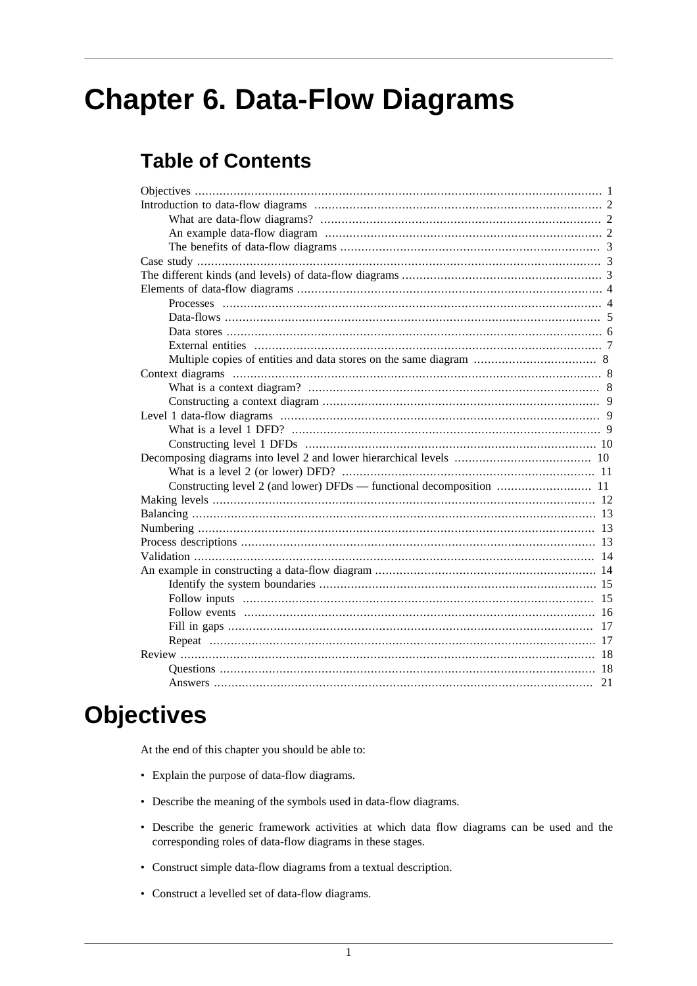# **Chapter 6. Data-Flow Diagrams**

# **Table of Contents**

# <span id="page-0-0"></span>**Objectives**

At the end of this chapter you should be able to:

- Explain the purpose of data-flow diagrams.
- Describe the meaning of the symbols used in data-flow diagrams.
- Describe the generic framework activities at which data flow diagrams can be used and the corresponding roles of data-flow diagrams in these stages.
- Construct simple data-flow diagrams from a textual description.
- Construct a levelled set of data-flow diagrams.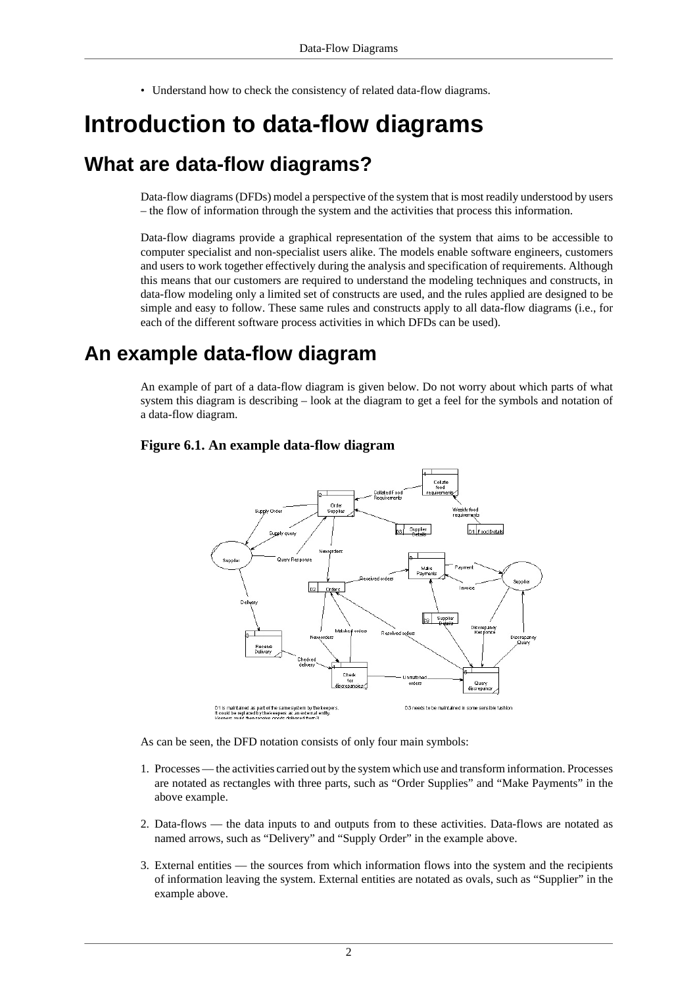• Understand how to check the consistency of related data-flow diagrams.

# <span id="page-1-0"></span>**Introduction to data-flow diagrams**

## <span id="page-1-1"></span>**What are data-flow diagrams?**

Data-flow diagrams (DFDs) model a perspective of the system that is most readily understood by users – the flow of information through the system and the activities that process this information.

Data-flow diagrams provide a graphical representation of the system that aims to be accessible to computer specialist and non-specialist users alike. The models enable software engineers, customers and users to work together effectively during the analysis and specification of requirements. Although this means that our customers are required to understand the modeling techniques and constructs, in data-flow modeling only a limited set of constructs are used, and the rules applied are designed to be simple and easy to follow. These same rules and constructs apply to all data-flow diagrams (i.e., for each of the different software process activities in which DFDs can be used).

## <span id="page-1-2"></span>**An example data-flow diagram**

An example of part of a data-flow diagram is given below. Do not worry about which parts of what system this diagram is describing – look at the diagram to get a feel for the symbols and notation of a data-flow diagram.

#### **Figure 6.1. An example data-flow diagram**



As can be seen, the DFD notation consists of only four main symbols:

- 1. Processes the activities carried out by the system which use and transform information. Processes are notated as rectangles with three parts, such as "Order Supplies" and "Make Payments" in the above example.
- 2. Data-flows the data inputs to and outputs from to these activities. Data-flows are notated as named arrows, such as "Delivery" and "Supply Order" in the example above.
- 3. External entities the sources from which information flows into the system and the recipients of information leaving the system. External entities are notated as ovals, such as "Supplier" in the example above.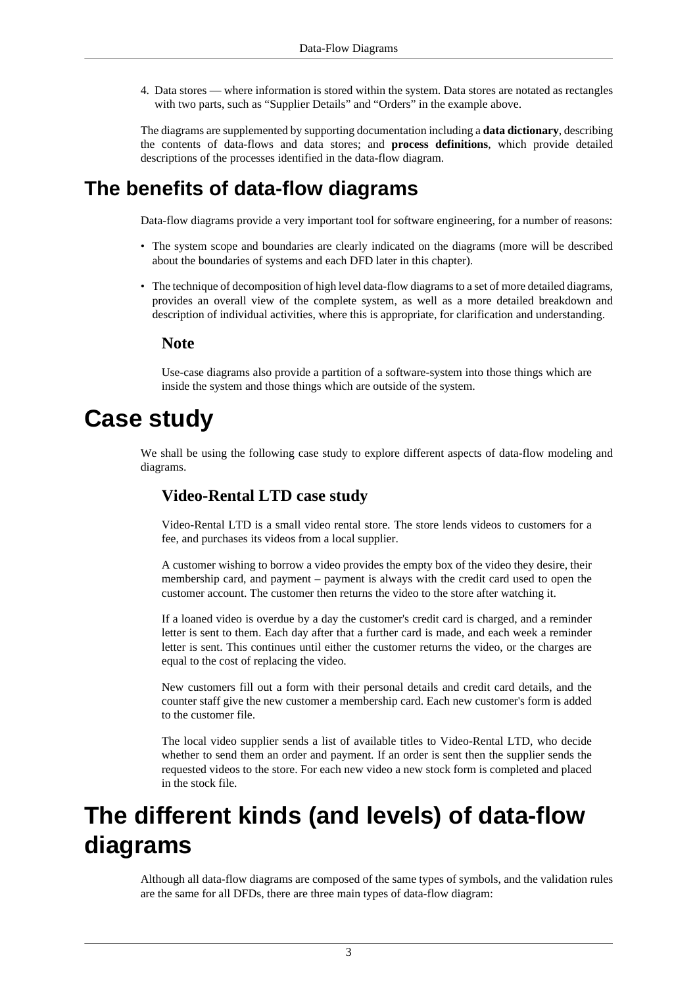4. Data stores — where information is stored within the system. Data stores are notated as rectangles with two parts, such as "Supplier Details" and "Orders" in the example above.

The diagrams are supplemented by supporting documentation including a **data dictionary**, describing the contents of data-flows and data stores; and **process definitions**, which provide detailed descriptions of the processes identified in the data-flow diagram.

# <span id="page-2-0"></span>**The benefits of data-flow diagrams**

Data-flow diagrams provide a very important tool for software engineering, for a number of reasons:

- The system scope and boundaries are clearly indicated on the diagrams (more will be described about the boundaries of systems and each DFD later in this chapter).
- The technique of decomposition of high level data-flow diagrams to a set of more detailed diagrams, provides an overall view of the complete system, as well as a more detailed breakdown and description of individual activities, where this is appropriate, for clarification and understanding.

#### **Note**

Use-case diagrams also provide a partition of a software-system into those things which are inside the system and those things which are outside of the system.

# <span id="page-2-1"></span>**Case study**

We shall be using the following case study to explore different aspects of data-flow modeling and diagrams.

#### **Video-Rental LTD case study**

Video-Rental LTD is a small video rental store. The store lends videos to customers for a fee, and purchases its videos from a local supplier.

A customer wishing to borrow a video provides the empty box of the video they desire, their membership card, and payment – payment is always with the credit card used to open the customer account. The customer then returns the video to the store after watching it.

If a loaned video is overdue by a day the customer's credit card is charged, and a reminder letter is sent to them. Each day after that a further card is made, and each week a reminder letter is sent. This continues until either the customer returns the video, or the charges are equal to the cost of replacing the video.

New customers fill out a form with their personal details and credit card details, and the counter staff give the new customer a membership card. Each new customer's form is added to the customer file.

The local video supplier sends a list of available titles to Video-Rental LTD, who decide whether to send them an order and payment. If an order is sent then the supplier sends the requested videos to the store. For each new video a new stock form is completed and placed in the stock file.

# <span id="page-2-2"></span>**The different kinds (and levels) of data-flow diagrams**

Although all data-flow diagrams are composed of the same types of symbols, and the validation rules are the same for all DFDs, there are three main types of data-flow diagram: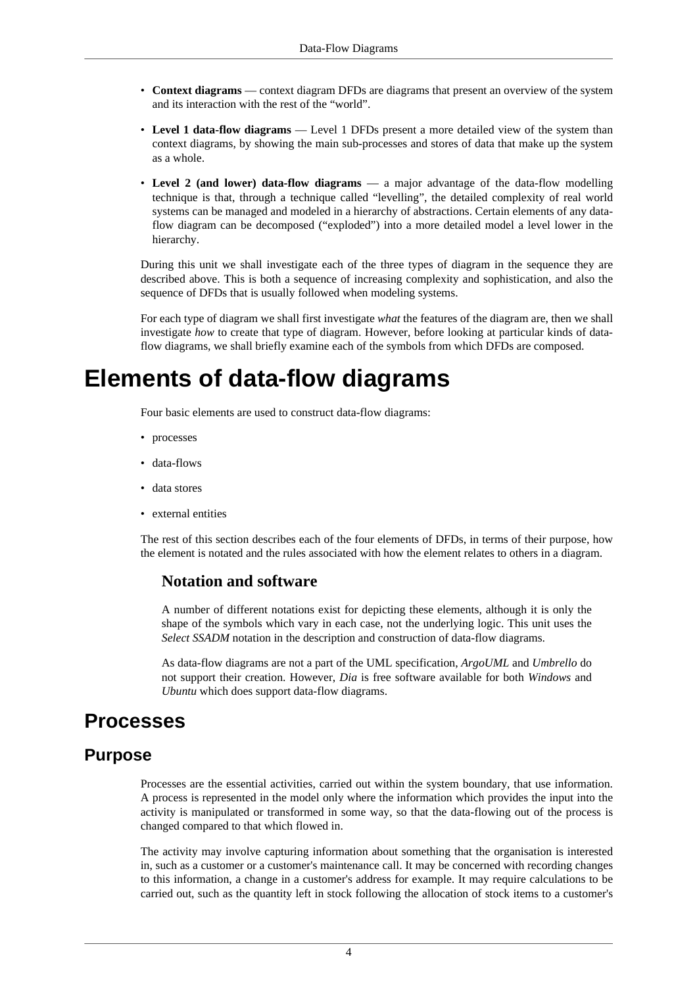- **Context diagrams** context diagram DFDs are diagrams that present an overview of the system and its interaction with the rest of the "world".
- **Level 1 data-flow diagrams** Level 1 DFDs present a more detailed view of the system than context diagrams, by showing the main sub-processes and stores of data that make up the system as a whole.
- **Level 2 (and lower) data-flow diagrams** a major advantage of the data-flow modelling technique is that, through a technique called "levelling", the detailed complexity of real world systems can be managed and modeled in a hierarchy of abstractions. Certain elements of any dataflow diagram can be decomposed ("exploded") into a more detailed model a level lower in the hierarchy.

During this unit we shall investigate each of the three types of diagram in the sequence they are described above. This is both a sequence of increasing complexity and sophistication, and also the sequence of DFDs that is usually followed when modeling systems.

For each type of diagram we shall first investigate *what* the features of the diagram are, then we shall investigate *how* to create that type of diagram. However, before looking at particular kinds of dataflow diagrams, we shall briefly examine each of the symbols from which DFDs are composed.

# <span id="page-3-0"></span>**Elements of data-flow diagrams**

Four basic elements are used to construct data-flow diagrams:

- processes
- data-flows
- data stores
- external entities

The rest of this section describes each of the four elements of DFDs, in terms of their purpose, how the element is notated and the rules associated with how the element relates to others in a diagram.

#### **Notation and software**

A number of different notations exist for depicting these elements, although it is only the shape of the symbols which vary in each case, not the underlying logic. This unit uses the *Select SSADM* notation in the description and construction of data-flow diagrams.

As data-flow diagrams are not a part of the UML specification, *ArgoUML* and *Umbrello* do not support their creation. However, *Dia* is free software available for both *Windows* and *Ubuntu* which does support data-flow diagrams.

## <span id="page-3-1"></span>**Processes**

### **Purpose**

Processes are the essential activities, carried out within the system boundary, that use information. A process is represented in the model only where the information which provides the input into the activity is manipulated or transformed in some way, so that the data-flowing out of the process is changed compared to that which flowed in.

The activity may involve capturing information about something that the organisation is interested in, such as a customer or a customer's maintenance call. It may be concerned with recording changes to this information, a change in a customer's address for example. It may require calculations to be carried out, such as the quantity left in stock following the allocation of stock items to a customer's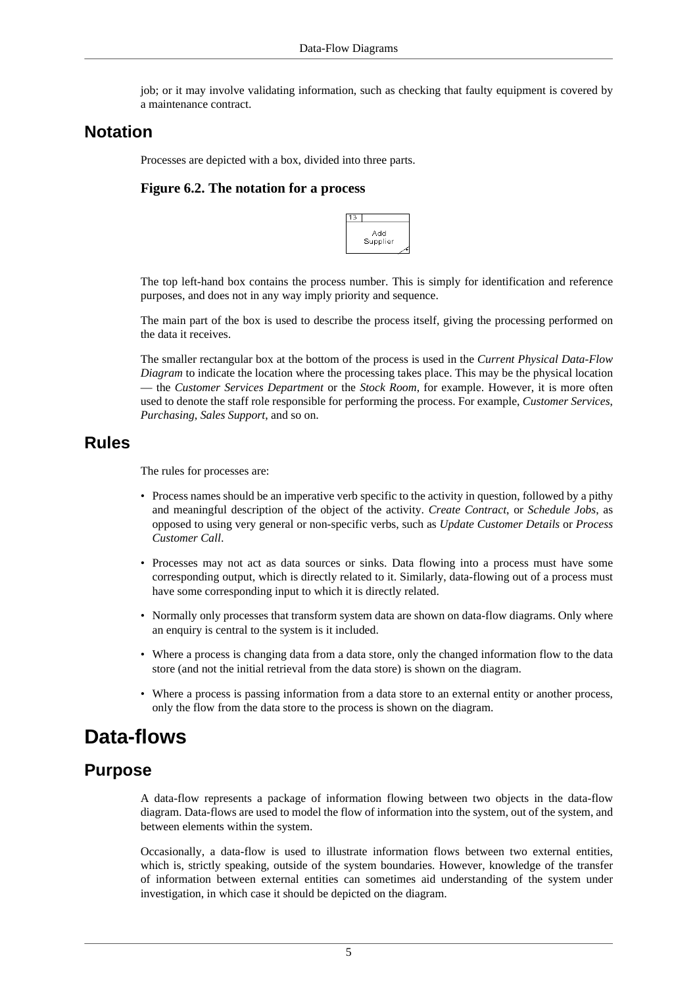job; or it may involve validating information, such as checking that faulty equipment is covered by a maintenance contract.

### **Notation**

Processes are depicted with a box, divided into three parts.

#### **Figure 6.2. The notation for a process**



The top left-hand box contains the process number. This is simply for identification and reference purposes, and does not in any way imply priority and sequence.

The main part of the box is used to describe the process itself, giving the processing performed on the data it receives.

The smaller rectangular box at the bottom of the process is used in the *Current Physical Data-Flow Diagram* to indicate the location where the processing takes place. This may be the physical location — the *Customer Services Department* or the *Stock Room*, for example. However, it is more often used to denote the staff role responsible for performing the process. For example, *Customer Services*, *Purchasing*, *Sales Support*, and so on.

### **Rules**

The rules for processes are:

- Process names should be an imperative verb specific to the activity in question, followed by a pithy and meaningful description of the object of the activity. *Create Contract*, or *Schedule Jobs*, as opposed to using very general or non-specific verbs, such as *Update Customer Details* or *Process Customer Call*.
- Processes may not act as data sources or sinks. Data flowing into a process must have some corresponding output, which is directly related to it. Similarly, data-flowing out of a process must have some corresponding input to which it is directly related.
- Normally only processes that transform system data are shown on data-flow diagrams. Only where an enquiry is central to the system is it included.
- Where a process is changing data from a data store, only the changed information flow to the data store (and not the initial retrieval from the data store) is shown on the diagram.
- Where a process is passing information from a data store to an external entity or another process, only the flow from the data store to the process is shown on the diagram.

## <span id="page-4-0"></span>**Data-flows**

### **Purpose**

A data-flow represents a package of information flowing between two objects in the data-flow diagram. Data-flows are used to model the flow of information into the system, out of the system, and between elements within the system.

Occasionally, a data-flow is used to illustrate information flows between two external entities, which is, strictly speaking, outside of the system boundaries. However, knowledge of the transfer of information between external entities can sometimes aid understanding of the system under investigation, in which case it should be depicted on the diagram.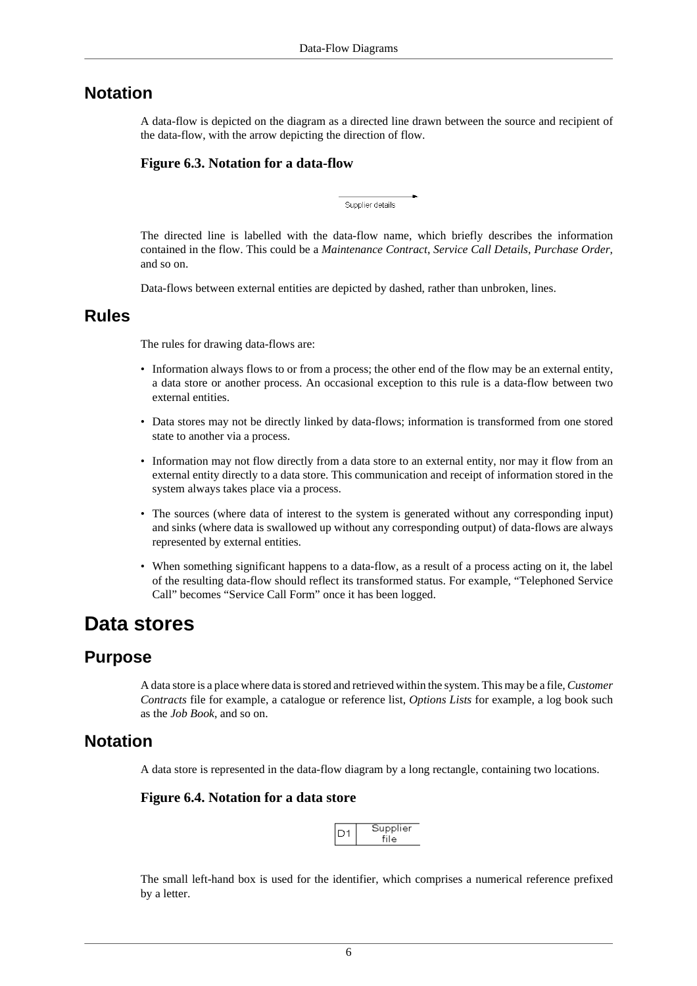### **Notation**

A data-flow is depicted on the diagram as a directed line drawn between the source and recipient of the data-flow, with the arrow depicting the direction of flow.

#### **Figure 6.3. Notation for a data-flow**

Supplier details

The directed line is labelled with the data-flow name, which briefly describes the information contained in the flow. This could be a *Maintenance Contract*, *Service Call Details*, *Purchase Order*, and so on.

Data-flows between external entities are depicted by dashed, rather than unbroken, lines.

### **Rules**

The rules for drawing data-flows are:

- Information always flows to or from a process; the other end of the flow may be an external entity, a data store or another process. An occasional exception to this rule is a data-flow between two external entities.
- Data stores may not be directly linked by data-flows; information is transformed from one stored state to another via a process.
- Information may not flow directly from a data store to an external entity, nor may it flow from an external entity directly to a data store. This communication and receipt of information stored in the system always takes place via a process.
- The sources (where data of interest to the system is generated without any corresponding input) and sinks (where data is swallowed up without any corresponding output) of data-flows are always represented by external entities.
- When something significant happens to a data-flow, as a result of a process acting on it, the label of the resulting data-flow should reflect its transformed status. For example, "Telephoned Service Call" becomes "Service Call Form" once it has been logged.

## <span id="page-5-0"></span>**Data stores**

### **Purpose**

A data store is a place where data is stored and retrieved within the system. This may be a file, *Customer Contracts* file for example, a catalogue or reference list, *Options Lists* for example, a log book such as the *Job Book*, and so on.

### **Notation**

A data store is represented in the data-flow diagram by a long rectangle, containing two locations.

#### **Figure 6.4. Notation for a data store**



The small left-hand box is used for the identifier, which comprises a numerical reference prefixed by a letter.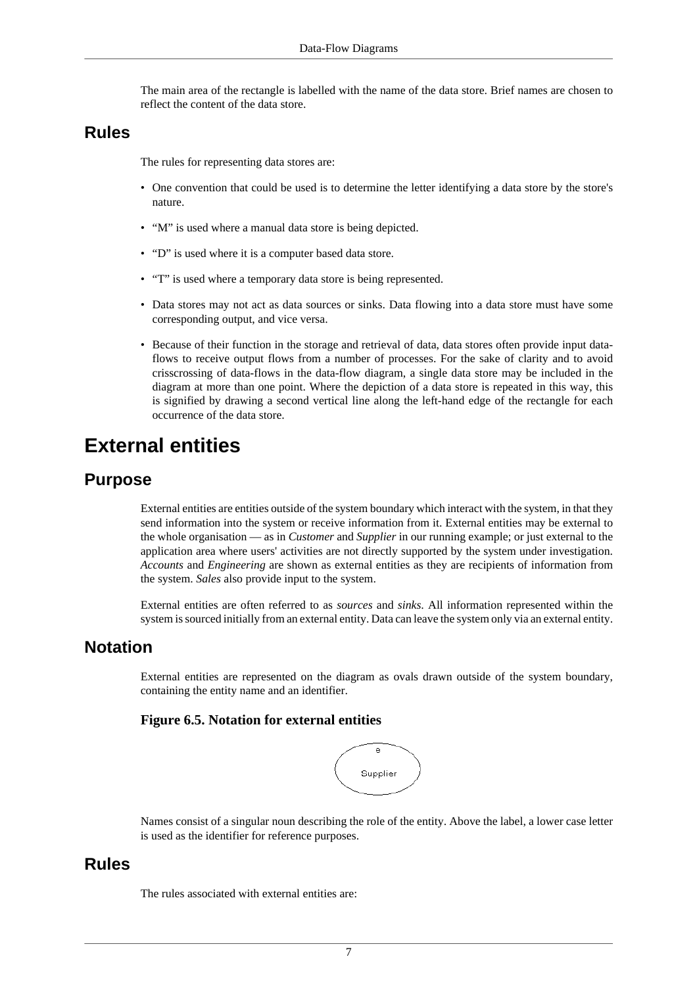The main area of the rectangle is labelled with the name of the data store. Brief names are chosen to reflect the content of the data store.

### **Rules**

The rules for representing data stores are:

- One convention that could be used is to determine the letter identifying a data store by the store's nature.
- "M" is used where a manual data store is being depicted.
- "D" is used where it is a computer based data store.
- "T" is used where a temporary data store is being represented.
- Data stores may not act as data sources or sinks. Data flowing into a data store must have some corresponding output, and vice versa.
- Because of their function in the storage and retrieval of data, data stores often provide input dataflows to receive output flows from a number of processes. For the sake of clarity and to avoid crisscrossing of data-flows in the data-flow diagram, a single data store may be included in the diagram at more than one point. Where the depiction of a data store is repeated in this way, this is signified by drawing a second vertical line along the left-hand edge of the rectangle for each occurrence of the data store.

## <span id="page-6-0"></span>**External entities**

### **Purpose**

External entities are entities outside of the system boundary which interact with the system, in that they send information into the system or receive information from it. External entities may be external to the whole organisation — as in *Customer* and *Supplier* in our running example; or just external to the application area where users' activities are not directly supported by the system under investigation. *Accounts* and *Engineering* are shown as external entities as they are recipients of information from the system. *Sales* also provide input to the system.

External entities are often referred to as *sources* and *sinks*. All information represented within the system is sourced initially from an external entity. Data can leave the system only via an external entity.

### **Notation**

External entities are represented on the diagram as ovals drawn outside of the system boundary, containing the entity name and an identifier.

#### **Figure 6.5. Notation for external entities**



Names consist of a singular noun describing the role of the entity. Above the label, a lower case letter is used as the identifier for reference purposes.

### **Rules**

The rules associated with external entities are: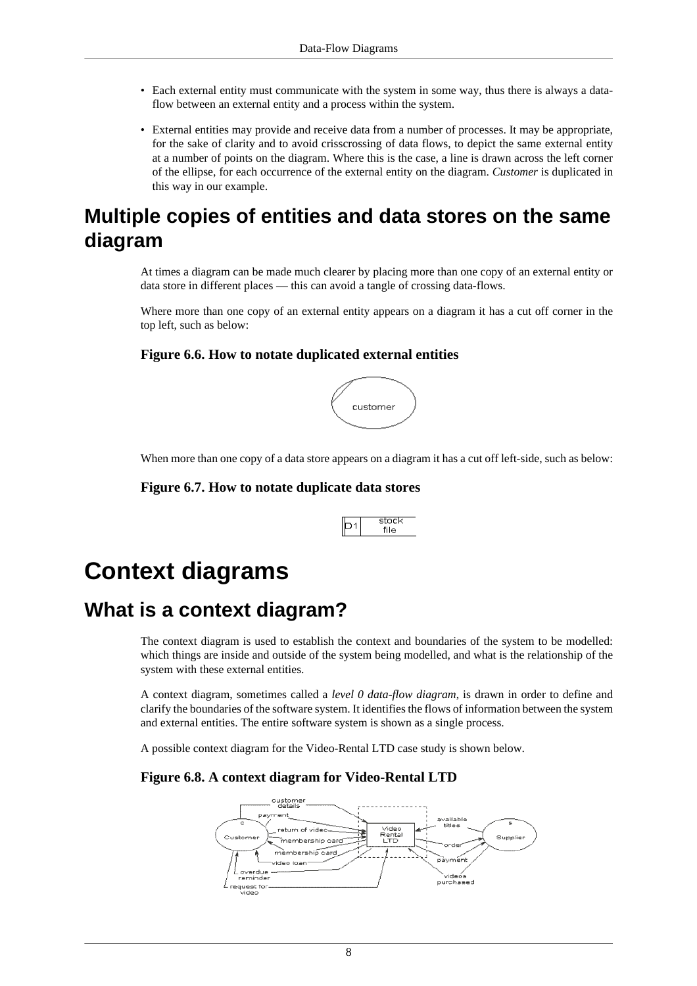- Each external entity must communicate with the system in some way, thus there is always a dataflow between an external entity and a process within the system.
- External entities may provide and receive data from a number of processes. It may be appropriate, for the sake of clarity and to avoid crisscrossing of data flows, to depict the same external entity at a number of points on the diagram. Where this is the case, a line is drawn across the left corner of the ellipse, for each occurrence of the external entity on the diagram. *Customer* is duplicated in this way in our example.

# <span id="page-7-0"></span>**Multiple copies of entities and data stores on the same diagram**

At times a diagram can be made much clearer by placing more than one copy of an external entity or data store in different places — this can avoid a tangle of crossing data-flows.

Where more than one copy of an external entity appears on a diagram it has a cut off corner in the top left, such as below:

#### **Figure 6.6. How to notate duplicated external entities**



When more than one copy of a data store appears on a diagram it has a cut off left-side, such as below:

#### **Figure 6.7. How to notate duplicate data stores**



# <span id="page-7-1"></span>**Context diagrams**

## <span id="page-7-2"></span>**What is a context diagram?**

The context diagram is used to establish the context and boundaries of the system to be modelled: which things are inside and outside of the system being modelled, and what is the relationship of the system with these external entities.

A context diagram, sometimes called a *level 0 data-flow diagram*, is drawn in order to define and clarify the boundaries of the software system. It identifies the flows of information between the system and external entities. The entire software system is shown as a single process.

A possible context diagram for the Video-Rental LTD case study is shown below.

#### **Figure 6.8. A context diagram for Video-Rental LTD**

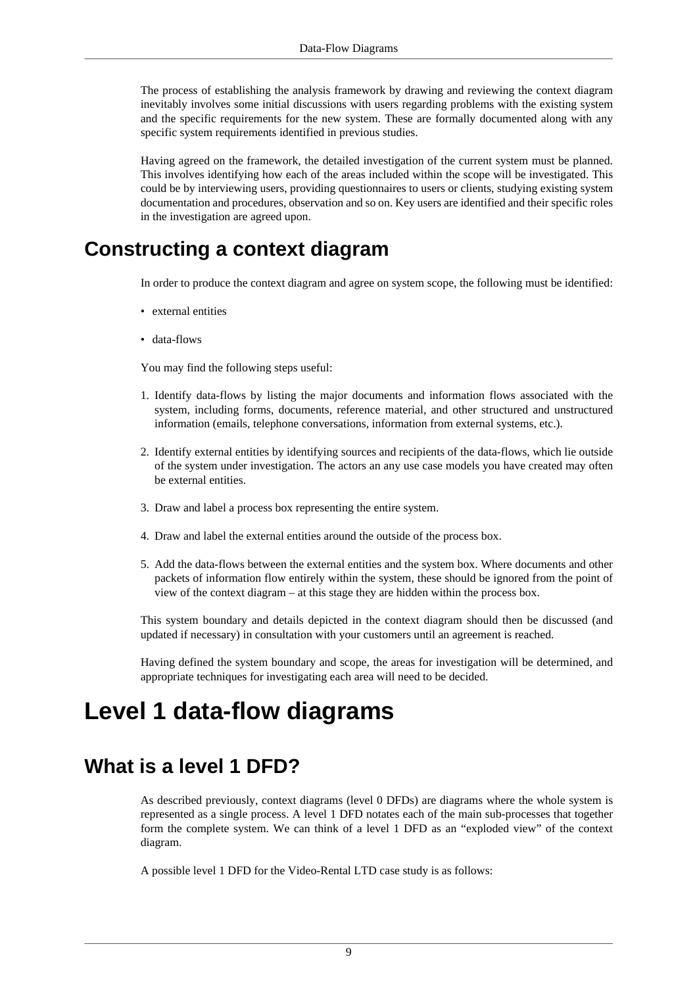The process of establishing the analysis framework by drawing and reviewing the context diagram inevitably involves some initial discussions with users regarding problems with the existing system and the specific requirements for the new system. These are formally documented along with any specific system requirements identified in previous studies.

Having agreed on the framework, the detailed investigation of the current system must be planned. This involves identifying how each of the areas included within the scope will be investigated. This could be by interviewing users, providing questionnaires to users or clients, studying existing system documentation and procedures, observation and so on. Key users are identified and their specific roles in the investigation are agreed upon.

## <span id="page-8-0"></span>**Constructing a context diagram**

In order to produce the context diagram and agree on system scope, the following must be identified:

- external entities
- data-flows

You may find the following steps useful:

- 1. Identify data-flows by listing the major documents and information flows associated with the system, including forms, documents, reference material, and other structured and unstructured information (emails, telephone conversations, information from external systems, etc.).
- 2. Identify external entities by identifying sources and recipients of the data-flows, which lie outside of the system under investigation. The actors an any use case models you have created may often be external entities.
- 3. Draw and label a process box representing the entire system.
- 4. Draw and label the external entities around the outside of the process box.
- 5. Add the data-flows between the external entities and the system box. Where documents and other packets of information flow entirely within the system, these should be ignored from the point of view of the context diagram – at this stage they are hidden within the process box.

This system boundary and details depicted in the context diagram should then be discussed (and updated if necessary) in consultation with your customers until an agreement is reached.

Having defined the system boundary and scope, the areas for investigation will be determined, and appropriate techniques for investigating each area will need to be decided.

# <span id="page-8-1"></span>**Level 1 data-flow diagrams**

# <span id="page-8-2"></span>**What is a level 1 DFD?**

As described previously, context diagrams (level 0 DFDs) are diagrams where the whole system is represented as a single process. A level 1 DFD notates each of the main sub-processes that together form the complete system. We can think of a level 1 DFD as an "exploded view" of the context diagram.

A possible level 1 DFD for the Video-Rental LTD case study is as follows: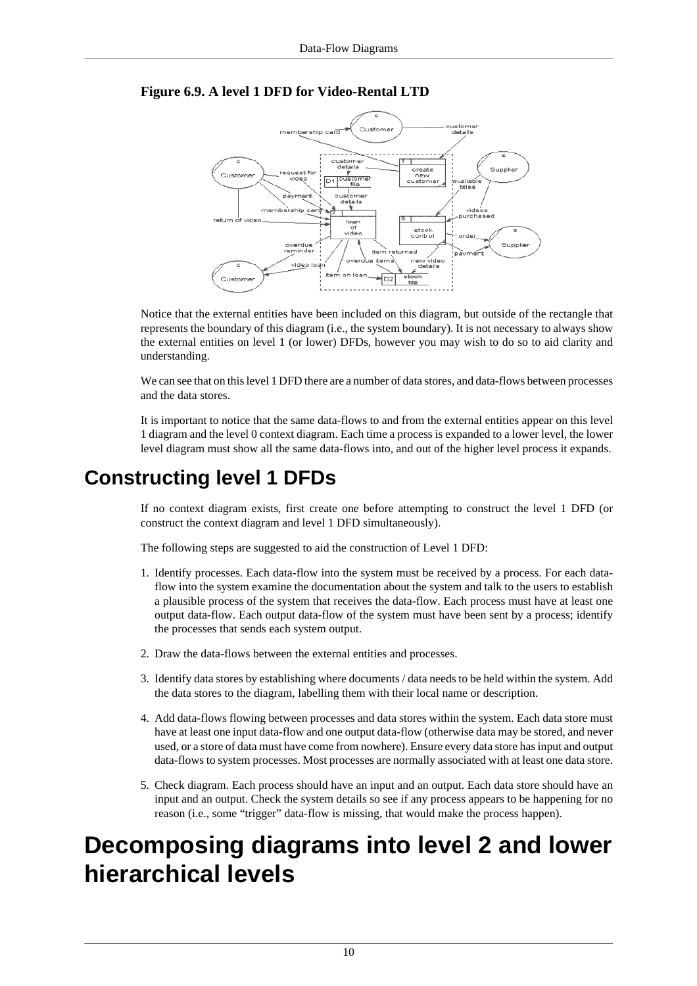



Notice that the external entities have been included on this diagram, but outside of the rectangle that represents the boundary of this diagram (i.e., the system boundary). It is not necessary to always show the external entities on level 1 (or lower) DFDs, however you may wish to do so to aid clarity and understanding.

We can see that on this level 1 DFD there are a number of data stores, and data-flows between processes and the data stores.

It is important to notice that the same data-flows to and from the external entities appear on this level 1 diagram and the level 0 context diagram. Each time a process is expanded to a lower level, the lower level diagram must show all the same data-flows into, and out of the higher level process it expands.

# <span id="page-9-0"></span>**Constructing level 1 DFDs**

If no context diagram exists, first create one before attempting to construct the level 1 DFD (or construct the context diagram and level 1 DFD simultaneously).

The following steps are suggested to aid the construction of Level 1 DFD:

- 1. Identify processes. Each data-flow into the system must be received by a process. For each dataflow into the system examine the documentation about the system and talk to the users to establish a plausible process of the system that receives the data-flow. Each process must have at least one output data-flow. Each output data-flow of the system must have been sent by a process; identify the processes that sends each system output.
- 2. Draw the data-flows between the external entities and processes.
- 3. Identify data stores by establishing where documents / data needs to be held within the system. Add the data stores to the diagram, labelling them with their local name or description.
- 4. Add data-flows flowing between processes and data stores within the system. Each data store must have at least one input data-flow and one output data-flow (otherwise data may be stored, and never used, or a store of data must have come from nowhere). Ensure every data store has input and output data-flows to system processes. Most processes are normally associated with at least one data store.
- 5. Check diagram. Each process should have an input and an output. Each data store should have an input and an output. Check the system details so see if any process appears to be happening for no reason (i.e., some "trigger" data-flow is missing, that would make the process happen).

# <span id="page-9-1"></span>**Decomposing diagrams into level 2 and lower hierarchical levels**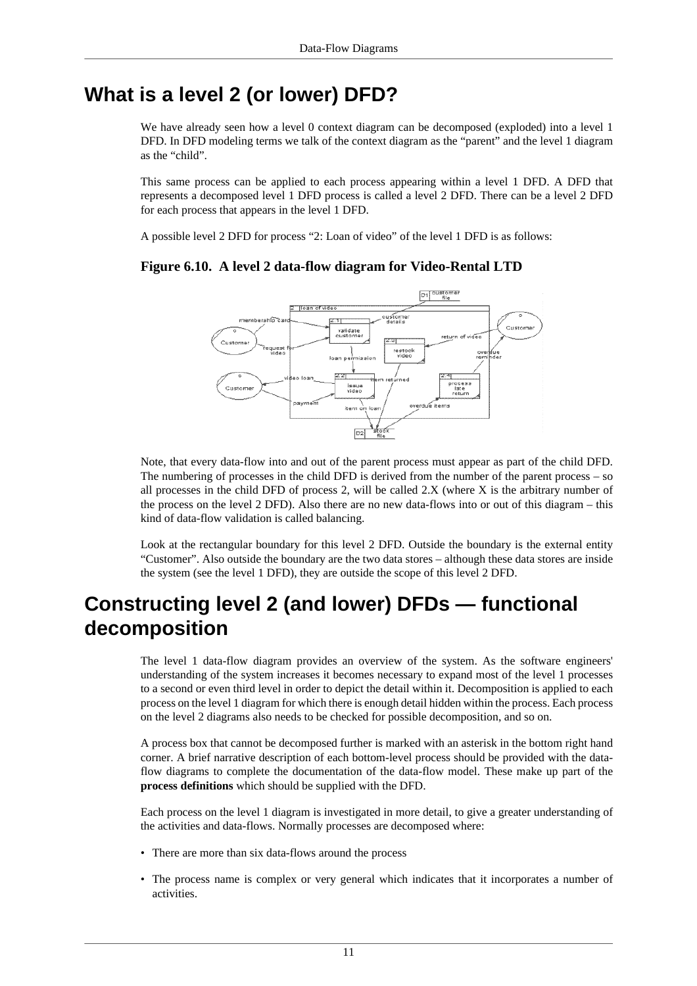## <span id="page-10-0"></span>**What is a level 2 (or lower) DFD?**

We have already seen how a level 0 context diagram can be decomposed (exploded) into a level 1 DFD. In DFD modeling terms we talk of the context diagram as the "parent" and the level 1 diagram as the "child".

This same process can be applied to each process appearing within a level 1 DFD. A DFD that represents a decomposed level 1 DFD process is called a level 2 DFD. There can be a level 2 DFD for each process that appears in the level 1 DFD.

A possible level 2 DFD for process "2: Loan of video" of the level 1 DFD is as follows:

#### **Figure 6.10. A level 2 data-flow diagram for Video-Rental LTD**



Note, that every data-flow into and out of the parent process must appear as part of the child DFD. The numbering of processes in the child DFD is derived from the number of the parent process – so all processes in the child DFD of process 2, will be called 2.X (where X is the arbitrary number of the process on the level 2 DFD). Also there are no new data-flows into or out of this diagram – this kind of data-flow validation is called balancing.

Look at the rectangular boundary for this level 2 DFD. Outside the boundary is the external entity "Customer". Also outside the boundary are the two data stores – although these data stores are inside the system (see the level 1 DFD), they are outside the scope of this level 2 DFD.

# <span id="page-10-1"></span>**Constructing level 2 (and lower) DFDs — functional decomposition**

The level 1 data-flow diagram provides an overview of the system. As the software engineers' understanding of the system increases it becomes necessary to expand most of the level 1 processes to a second or even third level in order to depict the detail within it. Decomposition is applied to each process on the level 1 diagram for which there is enough detail hidden within the process. Each process on the level 2 diagrams also needs to be checked for possible decomposition, and so on.

A process box that cannot be decomposed further is marked with an asterisk in the bottom right hand corner. A brief narrative description of each bottom-level process should be provided with the dataflow diagrams to complete the documentation of the data-flow model. These make up part of the **process definitions** which should be supplied with the DFD.

Each process on the level 1 diagram is investigated in more detail, to give a greater understanding of the activities and data-flows. Normally processes are decomposed where:

- There are more than six data-flows around the process
- The process name is complex or very general which indicates that it incorporates a number of activities.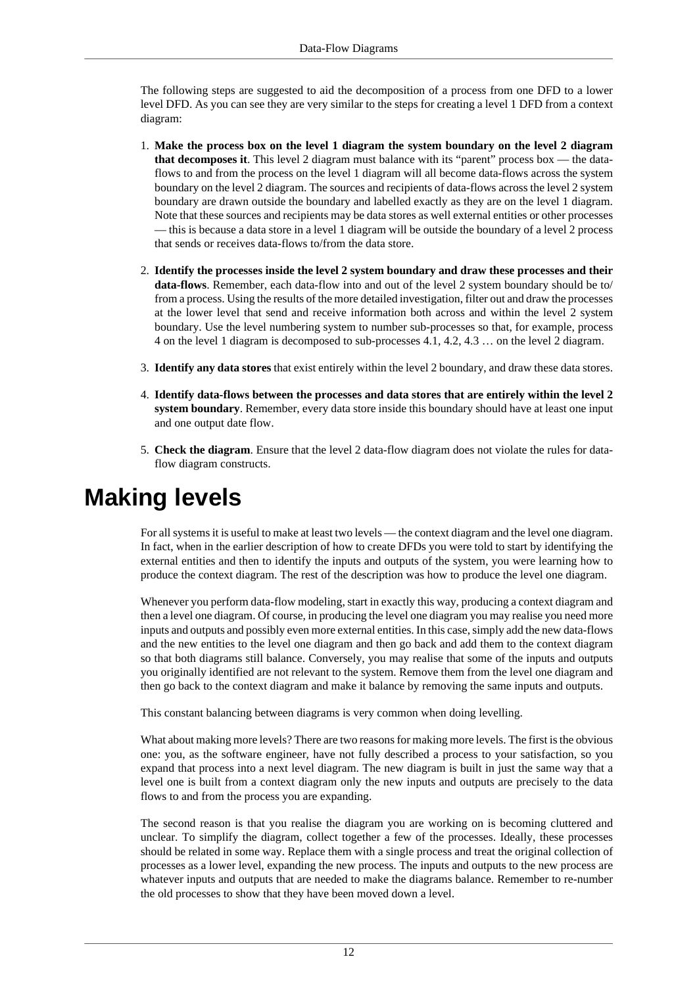The following steps are suggested to aid the decomposition of a process from one DFD to a lower level DFD. As you can see they are very similar to the steps for creating a level 1 DFD from a context diagram:

- 1. **Make the process box on the level 1 diagram the system boundary on the level 2 diagram that decomposes it**. This level 2 diagram must balance with its "parent" process box — the dataflows to and from the process on the level 1 diagram will all become data-flows across the system boundary on the level 2 diagram. The sources and recipients of data-flows across the level 2 system boundary are drawn outside the boundary and labelled exactly as they are on the level 1 diagram. Note that these sources and recipients may be data stores as well external entities or other processes — this is because a data store in a level 1 diagram will be outside the boundary of a level 2 process that sends or receives data-flows to/from the data store.
- 2. **Identify the processes inside the level 2 system boundary and draw these processes and their data-flows**. Remember, each data-flow into and out of the level 2 system boundary should be to/ from a process. Using the results of the more detailed investigation, filter out and draw the processes at the lower level that send and receive information both across and within the level 2 system boundary. Use the level numbering system to number sub-processes so that, for example, process 4 on the level 1 diagram is decomposed to sub-processes 4.1, 4.2, 4.3 … on the level 2 diagram.
- 3. **Identify any data stores** that exist entirely within the level 2 boundary, and draw these data stores.
- 4. **Identify data-flows between the processes and data stores that are entirely within the level 2 system boundary**. Remember, every data store inside this boundary should have at least one input and one output date flow.
- 5. **Check the diagram**. Ensure that the level 2 data-flow diagram does not violate the rules for dataflow diagram constructs.

# <span id="page-11-0"></span>**Making levels**

For all systems it is useful to make at least two levels — the context diagram and the level one diagram. In fact, when in the earlier description of how to create DFDs you were told to start by identifying the external entities and then to identify the inputs and outputs of the system, you were learning how to produce the context diagram. The rest of the description was how to produce the level one diagram.

Whenever you perform data-flow modeling, start in exactly this way, producing a context diagram and then a level one diagram. Of course, in producing the level one diagram you may realise you need more inputs and outputs and possibly even more external entities. In this case, simply add the new data-flows and the new entities to the level one diagram and then go back and add them to the context diagram so that both diagrams still balance. Conversely, you may realise that some of the inputs and outputs you originally identified are not relevant to the system. Remove them from the level one diagram and then go back to the context diagram and make it balance by removing the same inputs and outputs.

This constant balancing between diagrams is very common when doing levelling.

What about making more levels? There are two reasons for making more levels. The first is the obvious one: you, as the software engineer, have not fully described a process to your satisfaction, so you expand that process into a next level diagram. The new diagram is built in just the same way that a level one is built from a context diagram only the new inputs and outputs are precisely to the data flows to and from the process you are expanding.

The second reason is that you realise the diagram you are working on is becoming cluttered and unclear. To simplify the diagram, collect together a few of the processes. Ideally, these processes should be related in some way. Replace them with a single process and treat the original collection of processes as a lower level, expanding the new process. The inputs and outputs to the new process are whatever inputs and outputs that are needed to make the diagrams balance. Remember to re-number the old processes to show that they have been moved down a level.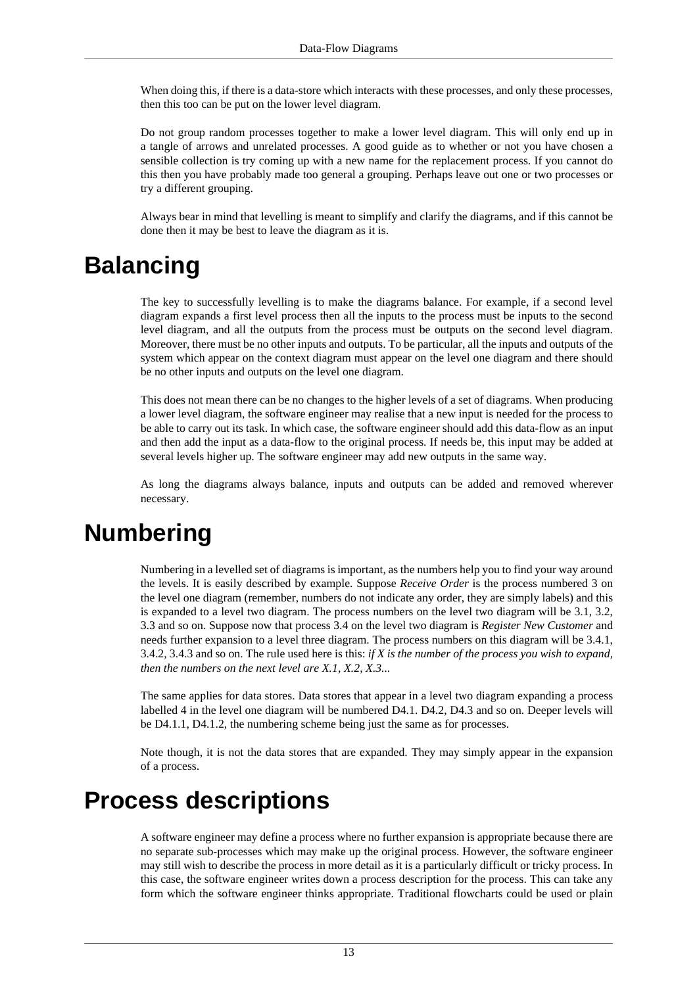When doing this, if there is a data-store which interacts with these processes, and only these processes, then this too can be put on the lower level diagram.

Do not group random processes together to make a lower level diagram. This will only end up in a tangle of arrows and unrelated processes. A good guide as to whether or not you have chosen a sensible collection is try coming up with a new name for the replacement process. If you cannot do this then you have probably made too general a grouping. Perhaps leave out one or two processes or try a different grouping.

Always bear in mind that levelling is meant to simplify and clarify the diagrams, and if this cannot be done then it may be best to leave the diagram as it is.

# <span id="page-12-0"></span>**Balancing**

The key to successfully levelling is to make the diagrams balance. For example, if a second level diagram expands a first level process then all the inputs to the process must be inputs to the second level diagram, and all the outputs from the process must be outputs on the second level diagram. Moreover, there must be no other inputs and outputs. To be particular, all the inputs and outputs of the system which appear on the context diagram must appear on the level one diagram and there should be no other inputs and outputs on the level one diagram.

This does not mean there can be no changes to the higher levels of a set of diagrams. When producing a lower level diagram, the software engineer may realise that a new input is needed for the process to be able to carry out its task. In which case, the software engineer should add this data-flow as an input and then add the input as a data-flow to the original process. If needs be, this input may be added at several levels higher up. The software engineer may add new outputs in the same way.

As long the diagrams always balance, inputs and outputs can be added and removed wherever necessary.

# <span id="page-12-1"></span>**Numbering**

Numbering in a levelled set of diagrams is important, as the numbers help you to find your way around the levels. It is easily described by example. Suppose *Receive Order* is the process numbered 3 on the level one diagram (remember, numbers do not indicate any order, they are simply labels) and this is expanded to a level two diagram. The process numbers on the level two diagram will be 3.1, 3.2, 3.3 and so on. Suppose now that process 3.4 on the level two diagram is *Register New Customer* and needs further expansion to a level three diagram. The process numbers on this diagram will be 3.4.1, 3.4.2, 3.4.3 and so on. The rule used here is this: *if X is the number of the process you wish to expand, then the numbers on the next level are X.1, X.2, X.3...*

The same applies for data stores. Data stores that appear in a level two diagram expanding a process labelled 4 in the level one diagram will be numbered D4.1. D4.2, D4.3 and so on. Deeper levels will be D4.1.1, D4.1.2, the numbering scheme being just the same as for processes.

Note though, it is not the data stores that are expanded. They may simply appear in the expansion of a process.

# <span id="page-12-2"></span>**Process descriptions**

A software engineer may define a process where no further expansion is appropriate because there are no separate sub-processes which may make up the original process. However, the software engineer may still wish to describe the process in more detail as it is a particularly difficult or tricky process. In this case, the software engineer writes down a process description for the process. This can take any form which the software engineer thinks appropriate. Traditional flowcharts could be used or plain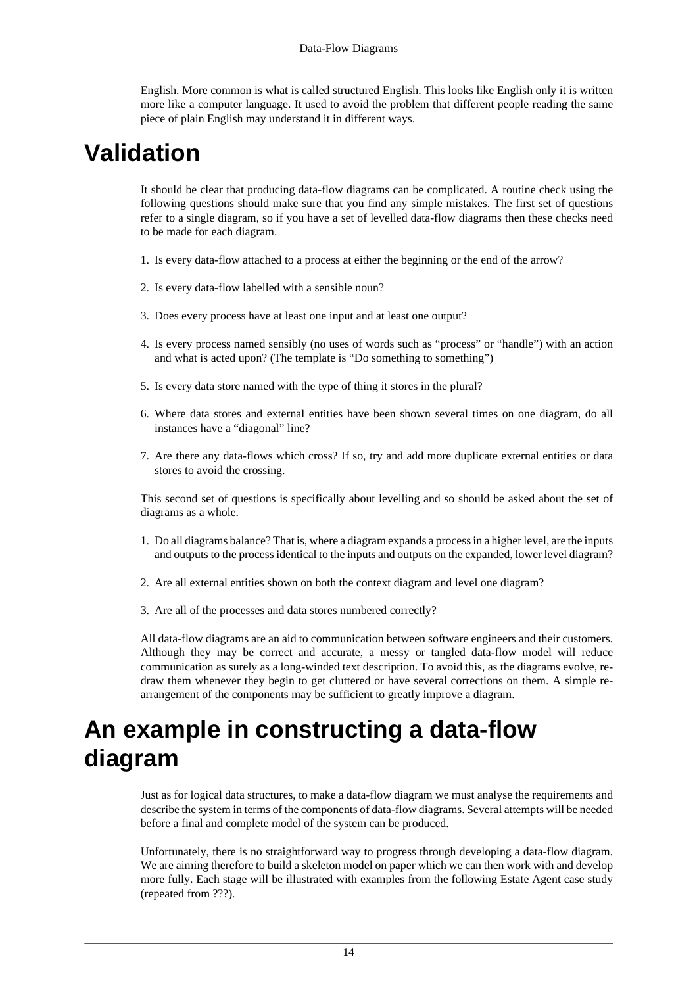English. More common is what is called structured English. This looks like English only it is written more like a computer language. It used to avoid the problem that different people reading the same piece of plain English may understand it in different ways.

# <span id="page-13-0"></span>**Validation**

It should be clear that producing data-flow diagrams can be complicated. A routine check using the following questions should make sure that you find any simple mistakes. The first set of questions refer to a single diagram, so if you have a set of levelled data-flow diagrams then these checks need to be made for each diagram.

- 1. Is every data-flow attached to a process at either the beginning or the end of the arrow?
- 2. Is every data-flow labelled with a sensible noun?
- 3. Does every process have at least one input and at least one output?
- 4. Is every process named sensibly (no uses of words such as "process" or "handle") with an action and what is acted upon? (The template is "Do something to something")
- 5. Is every data store named with the type of thing it stores in the plural?
- 6. Where data stores and external entities have been shown several times on one diagram, do all instances have a "diagonal" line?
- 7. Are there any data-flows which cross? If so, try and add more duplicate external entities or data stores to avoid the crossing.

This second set of questions is specifically about levelling and so should be asked about the set of diagrams as a whole.

- 1. Do all diagrams balance? That is, where a diagram expands a process in a higher level, are the inputs and outputs to the process identical to the inputs and outputs on the expanded, lower level diagram?
- 2. Are all external entities shown on both the context diagram and level one diagram?
- 3. Are all of the processes and data stores numbered correctly?

All data-flow diagrams are an aid to communication between software engineers and their customers. Although they may be correct and accurate, a messy or tangled data-flow model will reduce communication as surely as a long-winded text description. To avoid this, as the diagrams evolve, redraw them whenever they begin to get cluttered or have several corrections on them. A simple rearrangement of the components may be sufficient to greatly improve a diagram.

# <span id="page-13-1"></span>**An example in constructing a data-flow diagram**

Just as for logical data structures, to make a data-flow diagram we must analyse the requirements and describe the system in terms of the components of data-flow diagrams. Several attempts will be needed before a final and complete model of the system can be produced.

Unfortunately, there is no straightforward way to progress through developing a data-flow diagram. We are aiming therefore to build a skeleton model on paper which we can then work with and develop more fully. Each stage will be illustrated with examples from the following Estate Agent case study (repeated from ???).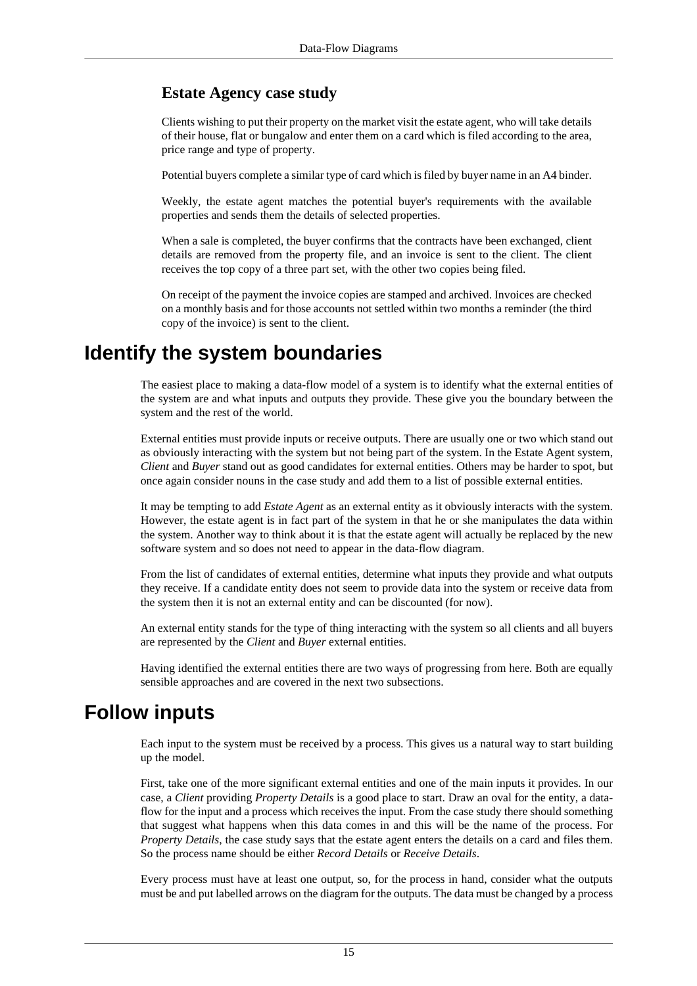### **Estate Agency case study**

Clients wishing to put their property on the market visit the estate agent, who will take details of their house, flat or bungalow and enter them on a card which is filed according to the area, price range and type of property.

Potential buyers complete a similar type of card which is filed by buyer name in an A4 binder.

Weekly, the estate agent matches the potential buyer's requirements with the available properties and sends them the details of selected properties.

When a sale is completed, the buyer confirms that the contracts have been exchanged, client details are removed from the property file, and an invoice is sent to the client. The client receives the top copy of a three part set, with the other two copies being filed.

On receipt of the payment the invoice copies are stamped and archived. Invoices are checked on a monthly basis and for those accounts not settled within two months a reminder (the third copy of the invoice) is sent to the client.

# <span id="page-14-0"></span>**Identify the system boundaries**

The easiest place to making a data-flow model of a system is to identify what the external entities of the system are and what inputs and outputs they provide. These give you the boundary between the system and the rest of the world.

External entities must provide inputs or receive outputs. There are usually one or two which stand out as obviously interacting with the system but not being part of the system. In the Estate Agent system, *Client* and *Buyer* stand out as good candidates for external entities. Others may be harder to spot, but once again consider nouns in the case study and add them to a list of possible external entities.

It may be tempting to add *Estate Agent* as an external entity as it obviously interacts with the system. However, the estate agent is in fact part of the system in that he or she manipulates the data within the system. Another way to think about it is that the estate agent will actually be replaced by the new software system and so does not need to appear in the data-flow diagram.

From the list of candidates of external entities, determine what inputs they provide and what outputs they receive. If a candidate entity does not seem to provide data into the system or receive data from the system then it is not an external entity and can be discounted (for now).

An external entity stands for the type of thing interacting with the system so all clients and all buyers are represented by the *Client* and *Buyer* external entities.

Having identified the external entities there are two ways of progressing from here. Both are equally sensible approaches and are covered in the next two subsections.

# <span id="page-14-1"></span>**Follow inputs**

Each input to the system must be received by a process. This gives us a natural way to start building up the model.

First, take one of the more significant external entities and one of the main inputs it provides. In our case, a *Client* providing *Property Details* is a good place to start. Draw an oval for the entity, a dataflow for the input and a process which receives the input. From the case study there should something that suggest what happens when this data comes in and this will be the name of the process. For *Property Details*, the case study says that the estate agent enters the details on a card and files them. So the process name should be either *Record Details* or *Receive Details*.

Every process must have at least one output, so, for the process in hand, consider what the outputs must be and put labelled arrows on the diagram for the outputs. The data must be changed by a process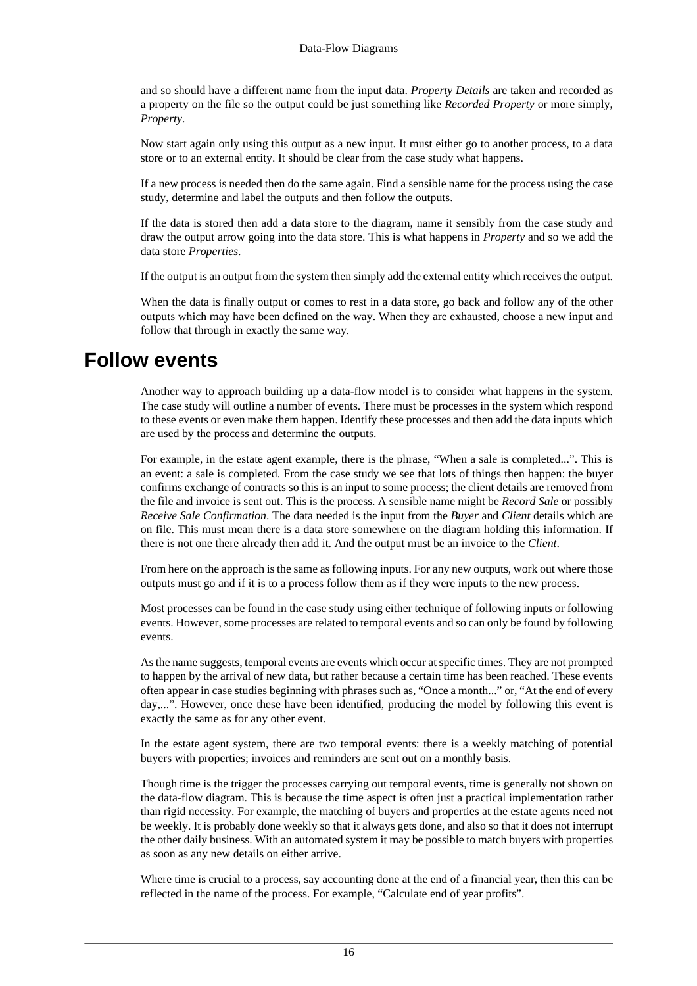and so should have a different name from the input data. *Property Details* are taken and recorded as a property on the file so the output could be just something like *Recorded Property* or more simply, *Property*.

Now start again only using this output as a new input. It must either go to another process, to a data store or to an external entity. It should be clear from the case study what happens.

If a new process is needed then do the same again. Find a sensible name for the process using the case study, determine and label the outputs and then follow the outputs.

If the data is stored then add a data store to the diagram, name it sensibly from the case study and draw the output arrow going into the data store. This is what happens in *Property* and so we add the data store *Properties*.

If the output is an output from the system then simply add the external entity which receives the output.

When the data is finally output or comes to rest in a data store, go back and follow any of the other outputs which may have been defined on the way. When they are exhausted, choose a new input and follow that through in exactly the same way.

## <span id="page-15-0"></span>**Follow events**

Another way to approach building up a data-flow model is to consider what happens in the system. The case study will outline a number of events. There must be processes in the system which respond to these events or even make them happen. Identify these processes and then add the data inputs which are used by the process and determine the outputs.

For example, in the estate agent example, there is the phrase, "When a sale is completed...". This is an event: a sale is completed. From the case study we see that lots of things then happen: the buyer confirms exchange of contracts so this is an input to some process; the client details are removed from the file and invoice is sent out. This is the process. A sensible name might be *Record Sale* or possibly *Receive Sale Confirmation*. The data needed is the input from the *Buyer* and *Client* details which are on file. This must mean there is a data store somewhere on the diagram holding this information. If there is not one there already then add it. And the output must be an invoice to the *Client*.

From here on the approach is the same as following inputs. For any new outputs, work out where those outputs must go and if it is to a process follow them as if they were inputs to the new process.

Most processes can be found in the case study using either technique of following inputs or following events. However, some processes are related to temporal events and so can only be found by following events.

As the name suggests, temporal events are events which occur at specific times. They are not prompted to happen by the arrival of new data, but rather because a certain time has been reached. These events often appear in case studies beginning with phrases such as, "Once a month..." or, "At the end of every day,...". However, once these have been identified, producing the model by following this event is exactly the same as for any other event.

In the estate agent system, there are two temporal events: there is a weekly matching of potential buyers with properties; invoices and reminders are sent out on a monthly basis.

Though time is the trigger the processes carrying out temporal events, time is generally not shown on the data-flow diagram. This is because the time aspect is often just a practical implementation rather than rigid necessity. For example, the matching of buyers and properties at the estate agents need not be weekly. It is probably done weekly so that it always gets done, and also so that it does not interrupt the other daily business. With an automated system it may be possible to match buyers with properties as soon as any new details on either arrive.

Where time is crucial to a process, say accounting done at the end of a financial year, then this can be reflected in the name of the process. For example, "Calculate end of year profits".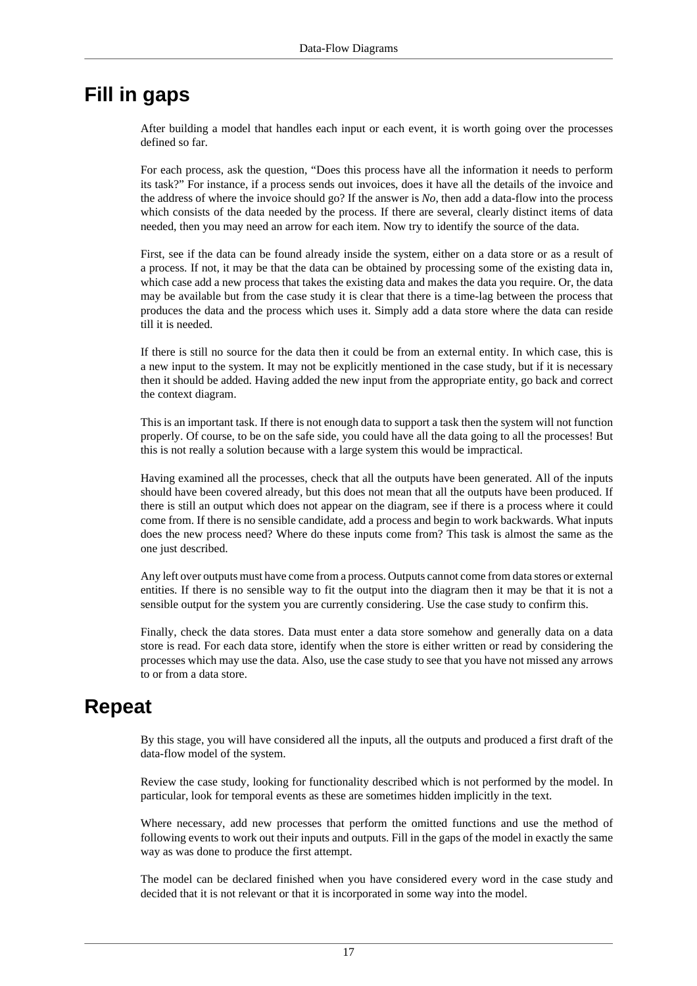## <span id="page-16-0"></span>**Fill in gaps**

After building a model that handles each input or each event, it is worth going over the processes defined so far.

For each process, ask the question, "Does this process have all the information it needs to perform its task?" For instance, if a process sends out invoices, does it have all the details of the invoice and the address of where the invoice should go? If the answer is *No*, then add a data-flow into the process which consists of the data needed by the process. If there are several, clearly distinct items of data needed, then you may need an arrow for each item. Now try to identify the source of the data.

First, see if the data can be found already inside the system, either on a data store or as a result of a process. If not, it may be that the data can be obtained by processing some of the existing data in, which case add a new process that takes the existing data and makes the data you require. Or, the data may be available but from the case study it is clear that there is a time-lag between the process that produces the data and the process which uses it. Simply add a data store where the data can reside till it is needed.

If there is still no source for the data then it could be from an external entity. In which case, this is a new input to the system. It may not be explicitly mentioned in the case study, but if it is necessary then it should be added. Having added the new input from the appropriate entity, go back and correct the context diagram.

This is an important task. If there is not enough data to support a task then the system will not function properly. Of course, to be on the safe side, you could have all the data going to all the processes! But this is not really a solution because with a large system this would be impractical.

Having examined all the processes, check that all the outputs have been generated. All of the inputs should have been covered already, but this does not mean that all the outputs have been produced. If there is still an output which does not appear on the diagram, see if there is a process where it could come from. If there is no sensible candidate, add a process and begin to work backwards. What inputs does the new process need? Where do these inputs come from? This task is almost the same as the one just described.

Any left over outputs must have come from a process. Outputs cannot come from data stores or external entities. If there is no sensible way to fit the output into the diagram then it may be that it is not a sensible output for the system you are currently considering. Use the case study to confirm this.

Finally, check the data stores. Data must enter a data store somehow and generally data on a data store is read. For each data store, identify when the store is either written or read by considering the processes which may use the data. Also, use the case study to see that you have not missed any arrows to or from a data store.

# <span id="page-16-1"></span>**Repeat**

By this stage, you will have considered all the inputs, all the outputs and produced a first draft of the data-flow model of the system.

Review the case study, looking for functionality described which is not performed by the model. In particular, look for temporal events as these are sometimes hidden implicitly in the text.

Where necessary, add new processes that perform the omitted functions and use the method of following events to work out their inputs and outputs. Fill in the gaps of the model in exactly the same way as was done to produce the first attempt.

The model can be declared finished when you have considered every word in the case study and decided that it is not relevant or that it is incorporated in some way into the model.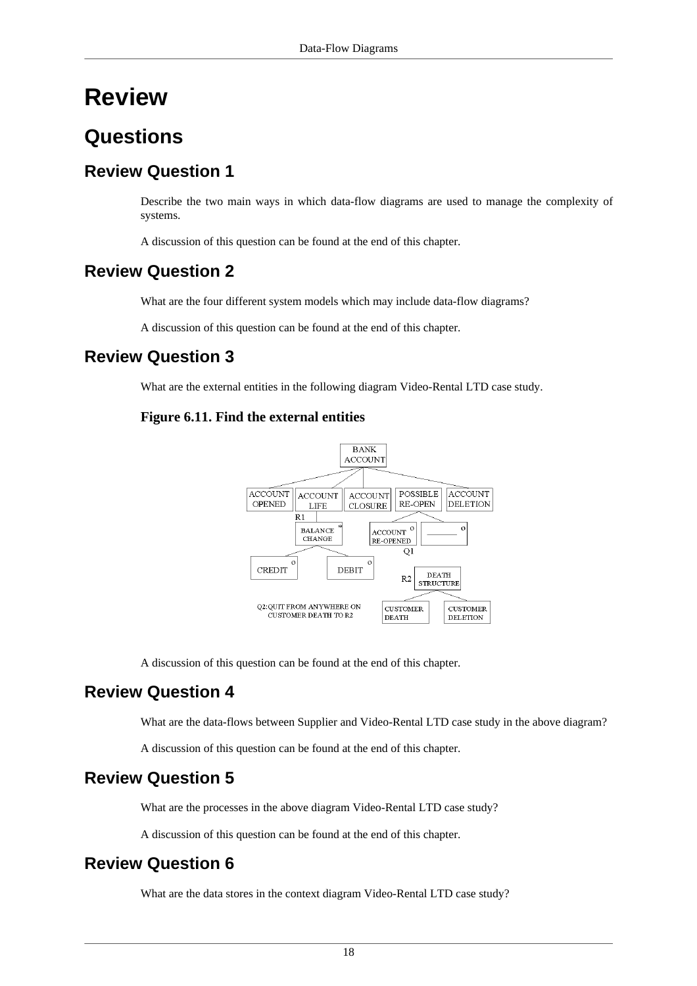# <span id="page-17-0"></span>**Review**

# <span id="page-17-1"></span>**Questions**

## **Review Question 1**

Describe the two main ways in which data-flow diagrams are used to manage the complexity of systems.

A discussion of this question can be found at the [end of this chapter.](#page-20-1)

## **Review Question 2**

What are the four different system models which may include data-flow diagrams?

A discussion of this question can be found at the [end of this chapter.](#page-20-2)

### **Review Question 3**

What are the external entities in the following diagram Video-Rental LTD case study.

#### **Figure 6.11. Find the external entities**



A discussion of this question can be found at the [end of this chapter.](#page-20-3)

## **Review Question 4**

What are the data-flows between Supplier and Video-Rental LTD case study in the above diagram?

A discussion of this question can be found at the [end of this chapter.](#page-21-0)

## **Review Question 5**

What are the processes in the above diagram Video-Rental LTD case study?

A discussion of this question can be found at the [end of this chapter.](#page-21-1)

## **Review Question 6**

What are the data stores in the context diagram Video-Rental LTD case study?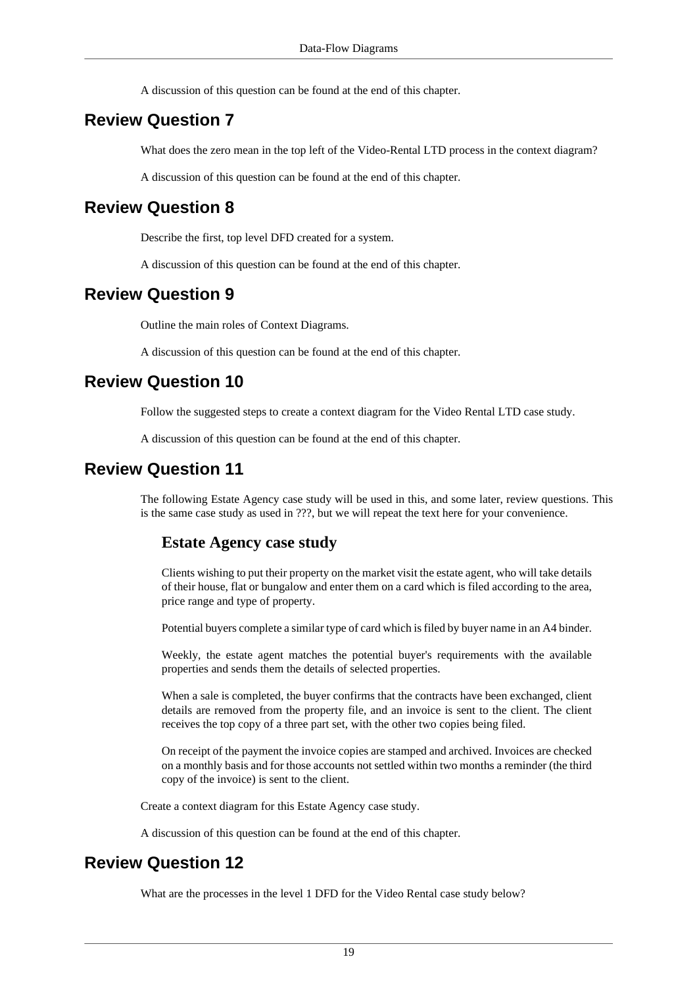A discussion of this question can be found at the [end of this chapter.](#page-21-2)

### **Review Question 7**

What does the zero mean in the top left of the Video-Rental LTD process in the context diagram?

A discussion of this question can be found at the [end of this chapter.](#page-21-3)

### **Review Question 8**

Describe the first, top level DFD created for a system.

A discussion of this question can be found at the [end of this chapter.](#page-21-4)

### **Review Question 9**

Outline the main roles of Context Diagrams.

A discussion of this question can be found at the [end of this chapter.](#page-21-5)

### **Review Question 10**

Follow the suggested steps to create a context diagram for the Video Rental LTD case study.

A discussion of this question can be found at the [end of this chapter.](#page-21-6)

### **Review Question 11**

The following Estate Agency case study will be used in this, and some later, review questions. This is the same case study as used in ???, but we will repeat the text here for your convenience.

#### **Estate Agency case study**

Clients wishing to put their property on the market visit the estate agent, who will take details of their house, flat or bungalow and enter them on a card which is filed according to the area, price range and type of property.

Potential buyers complete a similar type of card which is filed by buyer name in an A4 binder.

Weekly, the estate agent matches the potential buyer's requirements with the available properties and sends them the details of selected properties.

When a sale is completed, the buyer confirms that the contracts have been exchanged, client details are removed from the property file, and an invoice is sent to the client. The client receives the top copy of a three part set, with the other two copies being filed.

On receipt of the payment the invoice copies are stamped and archived. Invoices are checked on a monthly basis and for those accounts not settled within two months a reminder (the third copy of the invoice) is sent to the client.

Create a context diagram for this Estate Agency case study.

A discussion of this question can be found at the [end of this chapter.](#page-24-0)

### **Review Question 12**

What are the processes in the level 1 DFD for the Video Rental case study below?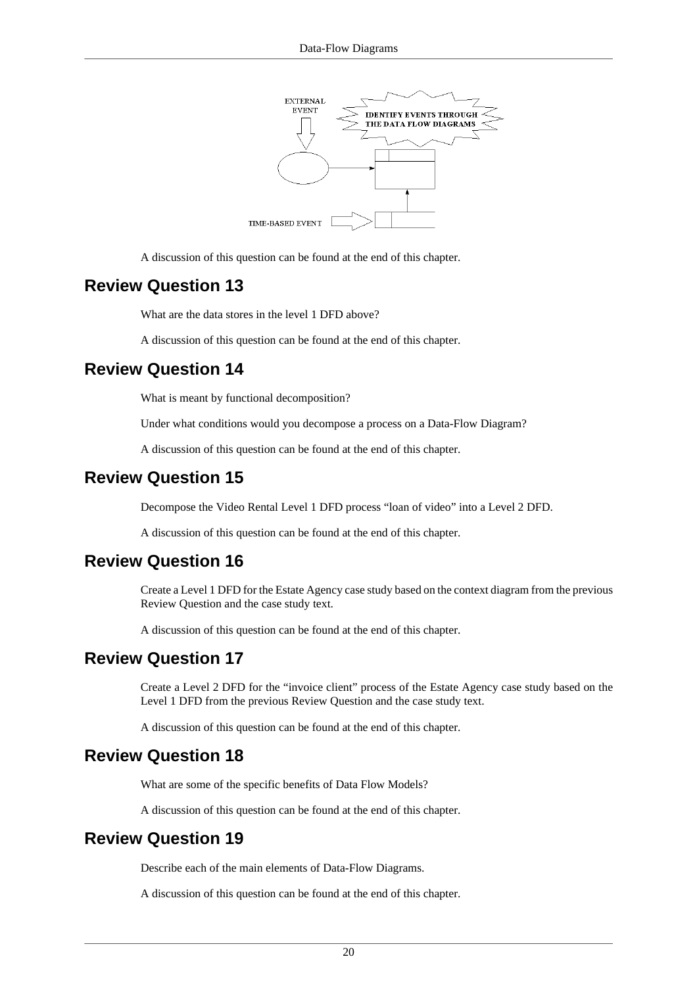

A discussion of this question can be found at the [end of this chapter.](#page-24-1)

### **Review Question 13**

What are the data stores in the level 1 DFD above?

A discussion of this question can be found at the [end of this chapter.](#page-25-0)

### **Review Question 14**

What is meant by functional decomposition?

Under what conditions would you decompose a process on a Data-Flow Diagram?

A discussion of this question can be found at the [end of this chapter.](#page-27-0)

### **Review Question 15**

Decompose the Video Rental Level 1 DFD process "loan of video" into a Level 2 DFD.

A discussion of this question can be found at the [end of this chapter.](#page-29-0)

### **Review Question 16**

Create a Level 1 DFD for the Estate Agency case study based on the context diagram from the previous Review Question and the case study text.

A discussion of this question can be found at the [end of this chapter.](#page-31-0)

### **Review Question 17**

Create a Level 2 DFD for the "invoice client" process of the Estate Agency case study based on the Level 1 DFD from the previous Review Question and the case study text.

A discussion of this question can be found at the [end of this chapter.](#page-34-0)

### **Review Question 18**

What are some of the specific benefits of Data Flow Models?

A discussion of this question can be found at the [end of this chapter.](#page-35-0)

### **Review Question 19**

Describe each of the main elements of Data-Flow Diagrams.

A discussion of this question can be found at the [end of this chapter.](#page-35-1)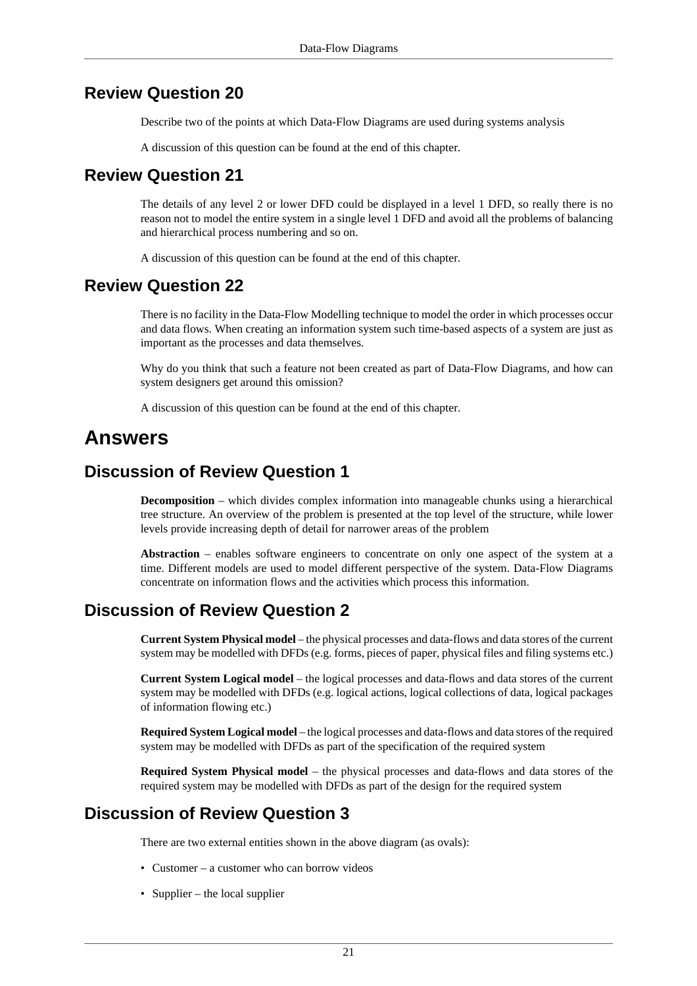### **Review Question 20**

Describe two of the points at which Data-Flow Diagrams are used during systems analysis

A discussion of this question can be found at the [end of this chapter.](#page-35-2)

### **Review Question 21**

The details of any level 2 or lower DFD could be displayed in a level 1 DFD, so really there is no reason not to model the entire system in a single level 1 DFD and avoid all the problems of balancing and hierarchical process numbering and so on.

A discussion of this question can be found at the [end of this chapter.](#page-36-0)

### **Review Question 22**

There is no facility in the Data-Flow Modelling technique to model the order in which processes occur and data flows. When creating an information system such time-based aspects of a system are just as important as the processes and data themselves.

Why do you think that such a feature not been created as part of Data-Flow Diagrams, and how can system designers get around this omission?

A discussion of this question can be found at the [end of this chapter.](#page-36-1)

## <span id="page-20-0"></span>**Answers**

### <span id="page-20-1"></span>**Discussion of Review Question 1**

**Decomposition** – which divides complex information into manageable chunks using a hierarchical tree structure. An overview of the problem is presented at the top level of the structure, while lower levels provide increasing depth of detail for narrower areas of the problem

**Abstraction** – enables software engineers to concentrate on only one aspect of the system at a time. Different models are used to model different perspective of the system. Data-Flow Diagrams concentrate on information flows and the activities which process this information.

### <span id="page-20-2"></span>**Discussion of Review Question 2**

**Current System Physical model** – the physical processes and data-flows and data stores of the current system may be modelled with DFDs (e.g. forms, pieces of paper, physical files and filing systems etc.)

**Current System Logical model** – the logical processes and data-flows and data stores of the current system may be modelled with DFDs (e.g. logical actions, logical collections of data, logical packages of information flowing etc.)

**Required System Logical model** – the logical processes and data-flows and data stores of the required system may be modelled with DFDs as part of the specification of the required system

**Required System Physical model** – the physical processes and data-flows and data stores of the required system may be modelled with DFDs as part of the design for the required system

### <span id="page-20-3"></span>**Discussion of Review Question 3**

There are two external entities shown in the above diagram (as ovals):

- Customer a customer who can borrow videos
- Supplier the local supplier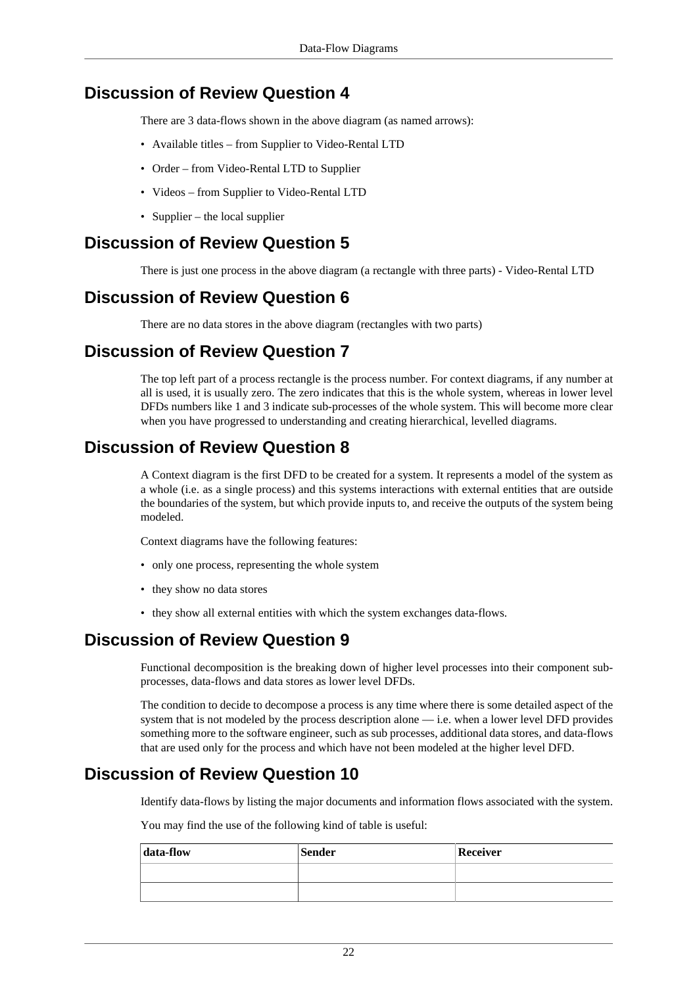## <span id="page-21-0"></span>**Discussion of Review Question 4**

There are 3 data-flows shown in the above diagram (as named arrows):

- Available titles from Supplier to Video-Rental LTD
- Order from Video-Rental LTD to Supplier
- Videos from Supplier to Video-Rental LTD
- Supplier the local supplier

### <span id="page-21-1"></span>**Discussion of Review Question 5**

There is just one process in the above diagram (a rectangle with three parts) - Video-Rental LTD

## <span id="page-21-2"></span>**Discussion of Review Question 6**

There are no data stores in the above diagram (rectangles with two parts)

## <span id="page-21-3"></span>**Discussion of Review Question 7**

The top left part of a process rectangle is the process number. For context diagrams, if any number at all is used, it is usually zero. The zero indicates that this is the whole system, whereas in lower level DFDs numbers like 1 and 3 indicate sub-processes of the whole system. This will become more clear when you have progressed to understanding and creating hierarchical, levelled diagrams.

## <span id="page-21-4"></span>**Discussion of Review Question 8**

A Context diagram is the first DFD to be created for a system. It represents a model of the system as a whole (i.e. as a single process) and this systems interactions with external entities that are outside the boundaries of the system, but which provide inputs to, and receive the outputs of the system being modeled.

Context diagrams have the following features:

- only one process, representing the whole system
- they show no data stores
- they show all external entities with which the system exchanges data-flows.

## <span id="page-21-5"></span>**Discussion of Review Question 9**

Functional decomposition is the breaking down of higher level processes into their component subprocesses, data-flows and data stores as lower level DFDs.

The condition to decide to decompose a process is any time where there is some detailed aspect of the system that is not modeled by the process description alone — i.e. when a lower level DFD provides something more to the software engineer, such as sub processes, additional data stores, and data-flows that are used only for the process and which have not been modeled at the higher level DFD.

## <span id="page-21-6"></span>**Discussion of Review Question 10**

Identify data-flows by listing the major documents and information flows associated with the system.

You may find the use of the following kind of table is useful:

| data-flow | <b>Sender</b> | <b>Receiver</b> |
|-----------|---------------|-----------------|
|           |               |                 |
|           |               |                 |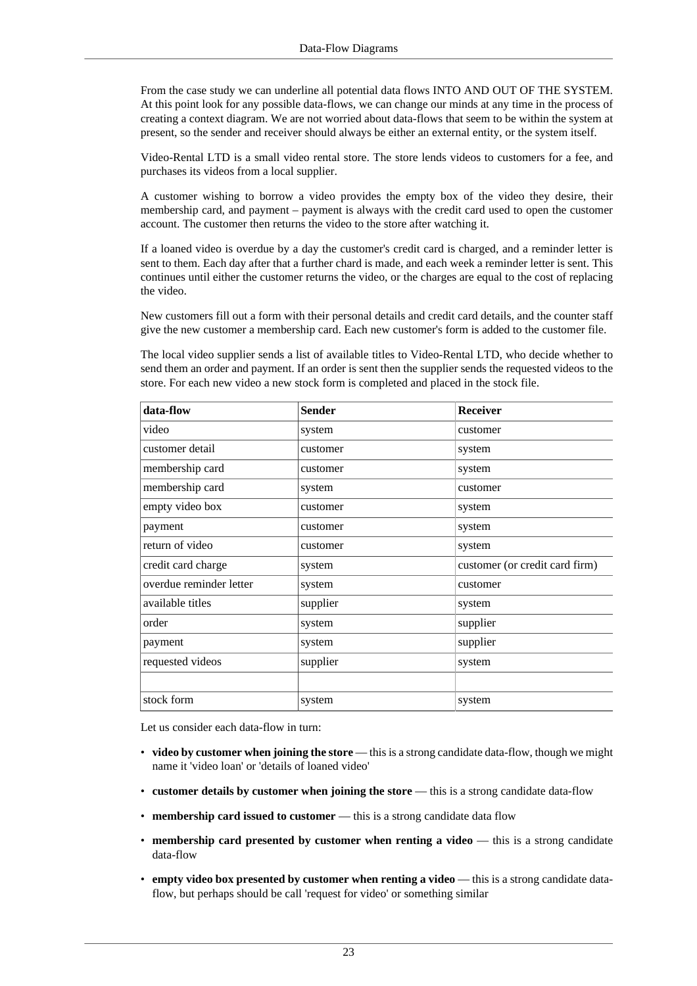From the case study we can underline all potential data flows INTO AND OUT OF THE SYSTEM. At this point look for any possible data-flows, we can change our minds at any time in the process of creating a context diagram. We are not worried about data-flows that seem to be within the system at present, so the sender and receiver should always be either an external entity, or the system itself.

Video-Rental LTD is a small video rental store. The store lends videos to customers for a fee, and purchases its videos from a local supplier.

A customer wishing to borrow a video provides the empty box of the video they desire, their membership card, and payment – payment is always with the credit card used to open the customer account. The customer then returns the video to the store after watching it.

If a loaned video is overdue by a day the customer's credit card is charged, and a reminder letter is sent to them. Each day after that a further chard is made, and each week a reminder letter is sent. This continues until either the customer returns the video, or the charges are equal to the cost of replacing the video.

New customers fill out a form with their personal details and credit card details, and the counter staff give the new customer a membership card. Each new customer's form is added to the customer file.

The local video supplier sends a list of available titles to Video-Rental LTD, who decide whether to send them an order and payment. If an order is sent then the supplier sends the requested videos to the store. For each new video a new stock form is completed and placed in the stock file.

| data-flow               | <b>Sender</b> | Receiver                       |
|-------------------------|---------------|--------------------------------|
| video                   | system        | customer                       |
| customer detail         | customer      | system                         |
| membership card         | customer      | system                         |
| membership card         | system        | customer                       |
| empty video box         | customer      | system                         |
| payment                 | customer      | system                         |
| return of video         | customer      | system                         |
| credit card charge      | system        | customer (or credit card firm) |
| overdue reminder letter | system        | customer                       |
| available titles        | supplier      | system                         |
| order                   | system        | supplier                       |
| payment                 | system        | supplier                       |
| requested videos        | supplier      | system                         |
|                         |               |                                |
| stock form              | system        | system                         |

Let us consider each data-flow in turn:

- **video by customer when joining the store** this is a strong candidate data-flow, though we might name it 'video loan' or 'details of loaned video'
- **customer details by customer when joining the store** this is a strong candidate data-flow
- **membership card issued to customer** this is a strong candidate data flow
- **membership card presented by customer when renting a video** this is a strong candidate data-flow
- **empty video box presented by customer when renting a video** this is a strong candidate dataflow, but perhaps should be call 'request for video' or something similar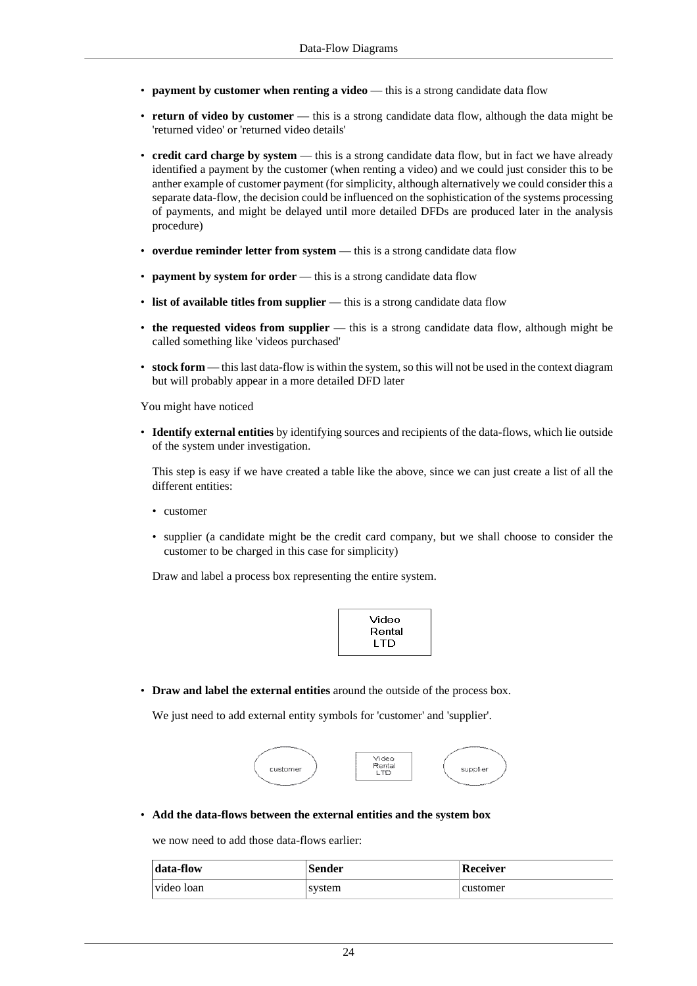- **payment by customer when renting a video** this is a strong candidate data flow
- **return of video by customer** this is a strong candidate data flow, although the data might be 'returned video' or 'returned video details'
- **credit card charge by system** this is a strong candidate data flow, but in fact we have already identified a payment by the customer (when renting a video) and we could just consider this to be anther example of customer payment (for simplicity, although alternatively we could consider this a separate data-flow, the decision could be influenced on the sophistication of the systems processing of payments, and might be delayed until more detailed DFDs are produced later in the analysis procedure)
- **overdue reminder letter from system** this is a strong candidate data flow
- **payment by system for order** this is a strong candidate data flow
- **list of available titles from supplier** this is a strong candidate data flow
- **the requested videos from supplier** this is a strong candidate data flow, although might be called something like 'videos purchased'
- **stock form** this last data-flow is within the system, so this will not be used in the context diagram but will probably appear in a more detailed DFD later

You might have noticed

• **Identify external entities** by identifying sources and recipients of the data-flows, which lie outside of the system under investigation.

This step is easy if we have created a table like the above, since we can just create a list of all the different entities:

- customer
- supplier (a candidate might be the credit card company, but we shall choose to consider the customer to be charged in this case for simplicity)

Draw and label a process box representing the entire system.

• **Draw and label the external entities** around the outside of the process box.

We just need to add external entity symbols for 'customer' and 'supplier'.



• **Add the data-flows between the external entities and the system box**

we now need to add those data-flows earlier:

| data-flow  | <b>Sender</b> | <b>Receiver</b> |
|------------|---------------|-----------------|
| video loan | system        | customer        |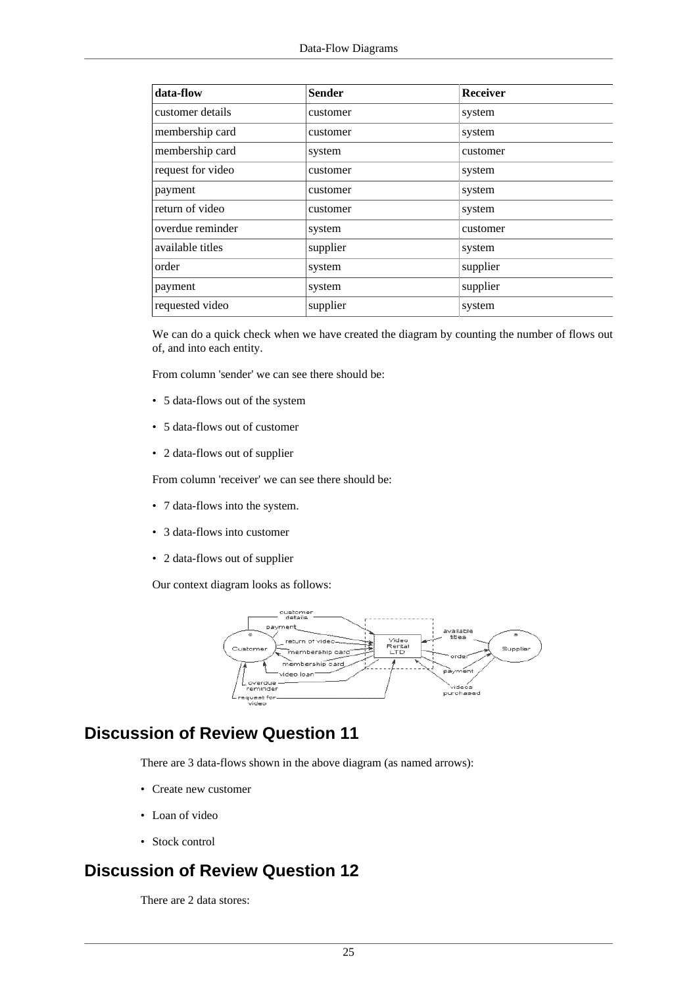| data-flow         | <b>Sender</b> | <b>Receiver</b> |
|-------------------|---------------|-----------------|
| customer details  | customer      | system          |
| membership card   | customer      | system          |
| membership card   | system        | customer        |
| request for video | customer      | system          |
| payment           | customer      | system          |
| return of video   | customer      | system          |
| overdue reminder  | system        | customer        |
| available titles  | supplier      | system          |
| order             | system        | supplier        |
| payment           | system        | supplier        |
| requested video   | supplier      | system          |

We can do a quick check when we have created the diagram by counting the number of flows out of, and into each entity.

From column 'sender' we can see there should be:

- 5 data-flows out of the system
- 5 data-flows out of customer
- 2 data-flows out of supplier

From column 'receiver' we can see there should be:

- 7 data-flows into the system.
- 3 data-flows into customer
- 2 data-flows out of supplier

Our context diagram looks as follows:



## <span id="page-24-0"></span>**Discussion of Review Question 11**

There are 3 data-flows shown in the above diagram (as named arrows):

- Create new customer
- Loan of video
- Stock control

## <span id="page-24-1"></span>**Discussion of Review Question 12**

There are 2 data stores: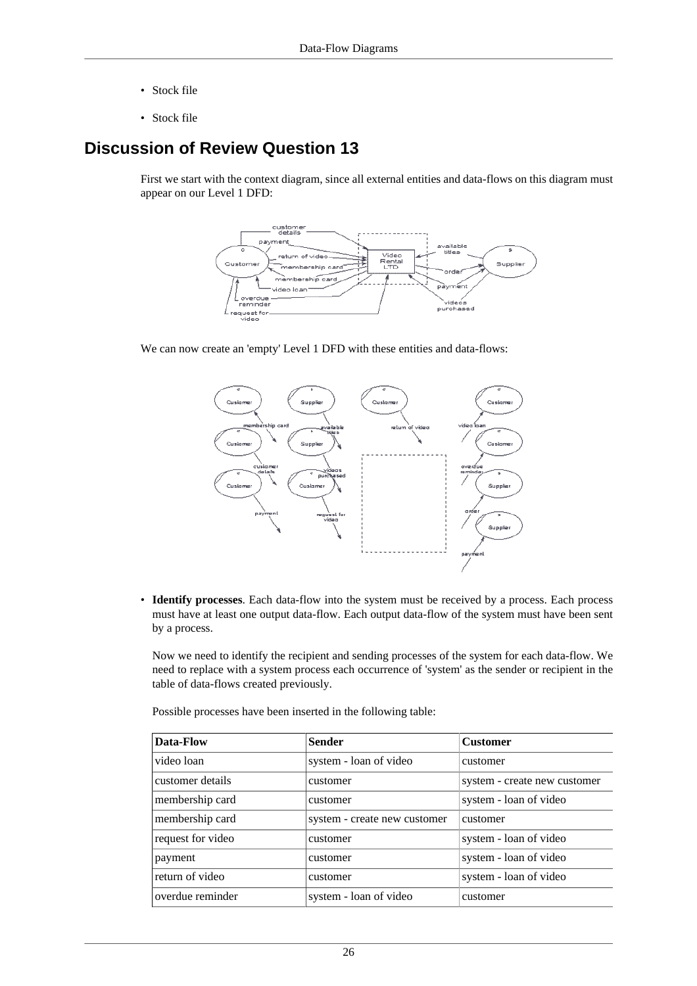- Stock file
- Stock file

## <span id="page-25-0"></span>**Discussion of Review Question 13**

First we start with the context diagram, since all external entities and data-flows on this diagram must appear on our Level 1 DFD:



We can now create an 'empty' Level 1 DFD with these entities and data-flows:



• **Identify processes**. Each data-flow into the system must be received by a process. Each process must have at least one output data-flow. Each output data-flow of the system must have been sent by a process.

Now we need to identify the recipient and sending processes of the system for each data-flow. We need to replace with a system process each occurrence of 'system' as the sender or recipient in the table of data-flows created previously.

Possible processes have been inserted in the following table:

| Data-Flow         | <b>Sender</b>                | <b>Customer</b>              |
|-------------------|------------------------------|------------------------------|
| video loan        | system - loan of video       | customer                     |
| customer details  | customer                     | system - create new customer |
| membership card   | customer                     | system - loan of video       |
| membership card   | system - create new customer | customer                     |
| request for video | customer                     | system - loan of video       |
| payment           | customer                     | system - loan of video       |
| return of video   | customer                     | system - loan of video       |
| overdue reminder  | system - loan of video       | customer                     |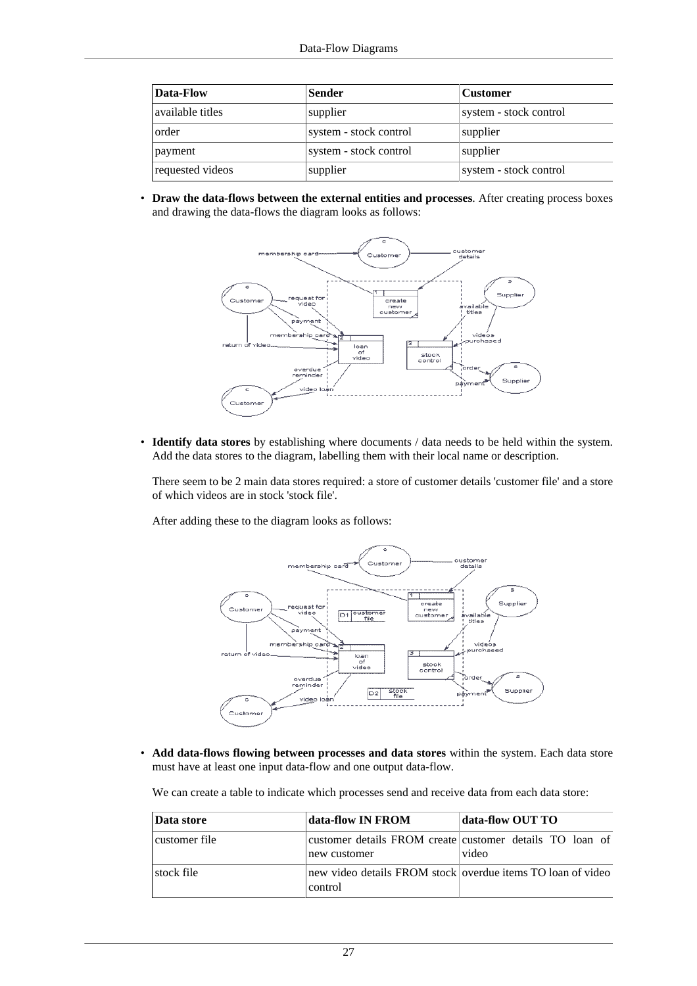| Data-Flow        | <b>Sender</b>          | <b>Customer</b>        |
|------------------|------------------------|------------------------|
| available titles | supplier               | system - stock control |
| order            | system - stock control | supplier               |
| payment          | system - stock control | supplier               |
| requested videos | supplier               | system - stock control |

• **Draw the data-flows between the external entities and processes**. After creating process boxes and drawing the data-flows the diagram looks as follows:



• **Identify data stores** by establishing where documents / data needs to be held within the system. Add the data stores to the diagram, labelling them with their local name or description.

There seem to be 2 main data stores required: a store of customer details 'customer file' and a store of which videos are in stock 'stock file'.

After adding these to the diagram looks as follows:



• **Add data-flows flowing between processes and data stores** within the system. Each data store must have at least one input data-flow and one output data-flow.

We can create a table to indicate which processes send and receive data from each data store:

| Data store    | data-flow IN FROM | data-flow OUT TO                                                  |
|---------------|-------------------|-------------------------------------------------------------------|
| customer file | new customer      | customer details FROM create customer details TO loan of<br>video |
| stock file    | control           | new video details FROM stock overdue items TO loan of video       |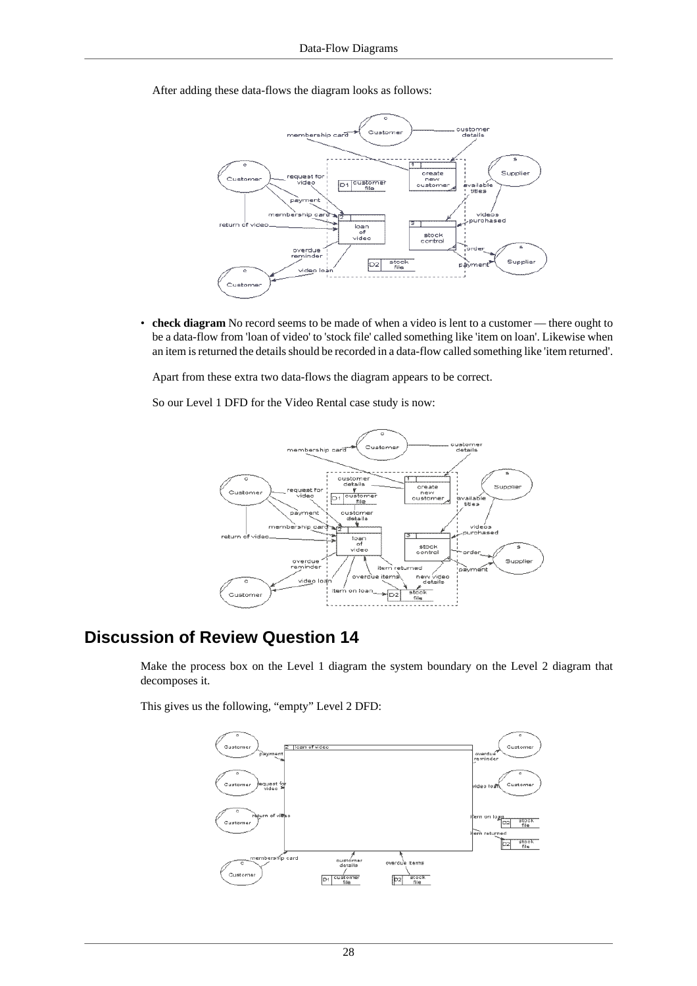After adding these data-flows the diagram looks as follows:



• **check diagram** No record seems to be made of when a video is lent to a customer — there ought to be a data-flow from 'loan of video' to 'stock file' called something like 'item on loan'. Likewise when an item is returned the details should be recorded in a data-flow called something like 'item returned'.

Apart from these extra two data-flows the diagram appears to be correct.

So our Level 1 DFD for the Video Rental case study is now:



### <span id="page-27-0"></span>**Discussion of Review Question 14**

Make the process box on the Level 1 diagram the system boundary on the Level 2 diagram that decomposes it.

This gives us the following, "empty" Level 2 DFD:

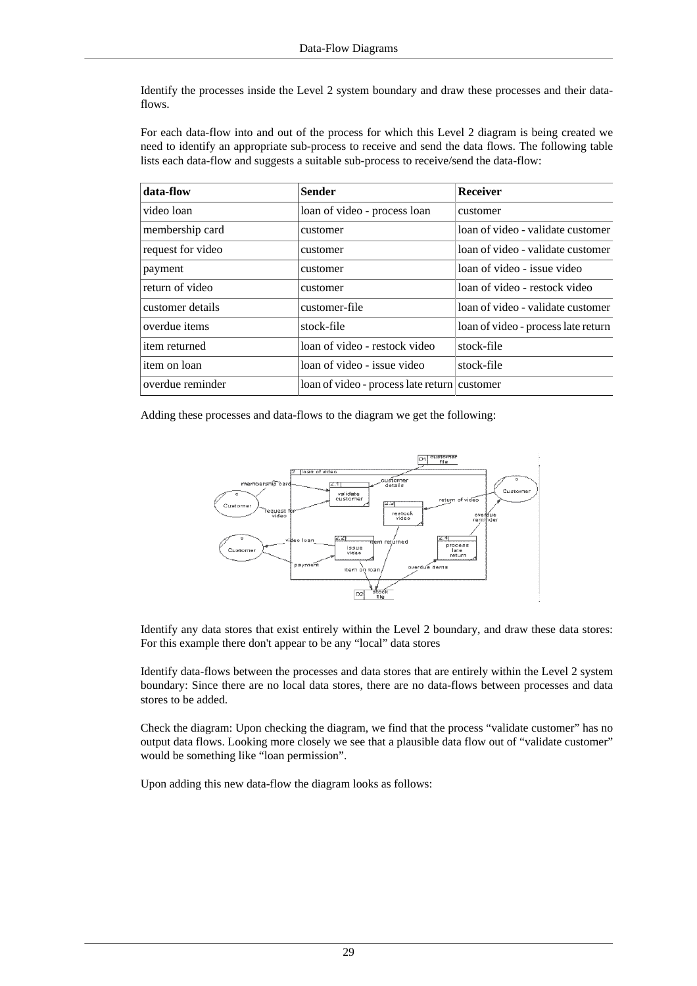Identify the processes inside the Level 2 system boundary and draw these processes and their dataflows.

For each data-flow into and out of the process for which this Level 2 diagram is being created we need to identify an appropriate sub-process to receive and send the data flows. The following table lists each data-flow and suggests a suitable sub-process to receive/send the data-flow:

| data-flow         | <b>Sender</b>                                | <b>Receiver</b>                     |
|-------------------|----------------------------------------------|-------------------------------------|
| video loan        | loan of video - process loan                 | customer                            |
| membership card   | customer                                     | loan of video - validate customer   |
| request for video | customer                                     | loan of video - validate customer   |
| payment           | customer                                     | loan of video - issue video         |
| return of video   | customer                                     | loan of video - restock video       |
| customer details  | customer-file                                | loan of video - validate customer   |
| overdue items     | stock-file                                   | loan of video - process late return |
| item returned     | loan of video - restock video                | stock-file                          |
| item on loan      | loan of video - issue video                  | stock-file                          |
| overdue reminder  | loan of video - process late return customer |                                     |

Adding these processes and data-flows to the diagram we get the following:



Identify any data stores that exist entirely within the Level 2 boundary, and draw these data stores: For this example there don't appear to be any "local" data stores

Identify data-flows between the processes and data stores that are entirely within the Level 2 system boundary: Since there are no local data stores, there are no data-flows between processes and data stores to be added.

Check the diagram: Upon checking the diagram, we find that the process "validate customer" has no output data flows. Looking more closely we see that a plausible data flow out of "validate customer" would be something like "loan permission".

Upon adding this new data-flow the diagram looks as follows: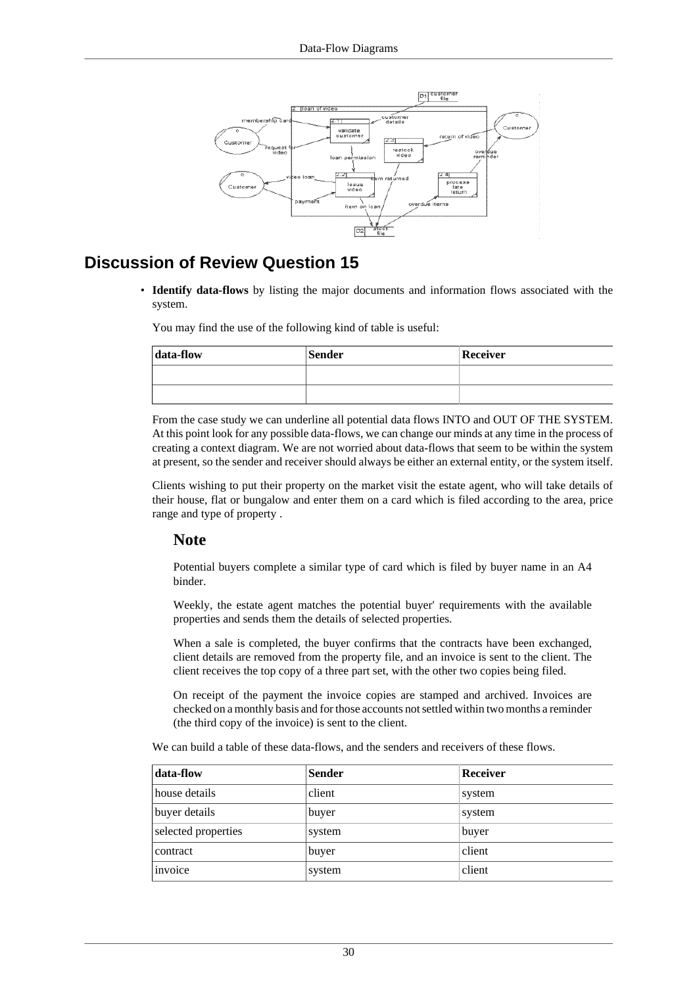

### <span id="page-29-0"></span>**Discussion of Review Question 15**

• **Identify data-flows** by listing the major documents and information flows associated with the system.

You may find the use of the following kind of table is useful:

| data-flow | <b>Sender</b> | Receiver |
|-----------|---------------|----------|
|           |               |          |
|           |               |          |

From the case study we can underline all potential data flows INTO and OUT OF THE SYSTEM. At this point look for any possible data-flows, we can change our minds at any time in the process of creating a context diagram. We are not worried about data-flows that seem to be within the system at present, so the sender and receiver should always be either an external entity, or the system itself.

Clients wishing to put their property on the market visit the estate agent, who will take details of their house, flat or bungalow and enter them on a card which is filed according to the area, price range and type of property .

#### **Note**

Potential buyers complete a similar type of card which is filed by buyer name in an A4 binder.

Weekly, the estate agent matches the potential buyer' requirements with the available properties and sends them the details of selected properties.

When a sale is completed, the buyer confirms that the contracts have been exchanged, client details are removed from the property file, and an invoice is sent to the client. The client receives the top copy of a three part set, with the other two copies being filed.

On receipt of the payment the invoice copies are stamped and archived. Invoices are checked on a monthly basis and for those accounts not settled within two months a reminder (the third copy of the invoice) is sent to the client.

We can build a table of these data-flows, and the senders and receivers of these flows.

| data-flow           | <b>Sender</b> | <b>Receiver</b> |
|---------------------|---------------|-----------------|
| house details       | client        | system          |
| buyer details       | buyer         | system          |
| selected properties | system        | buyer           |
| contract            | buyer         | client          |
| invoice             | system        | client          |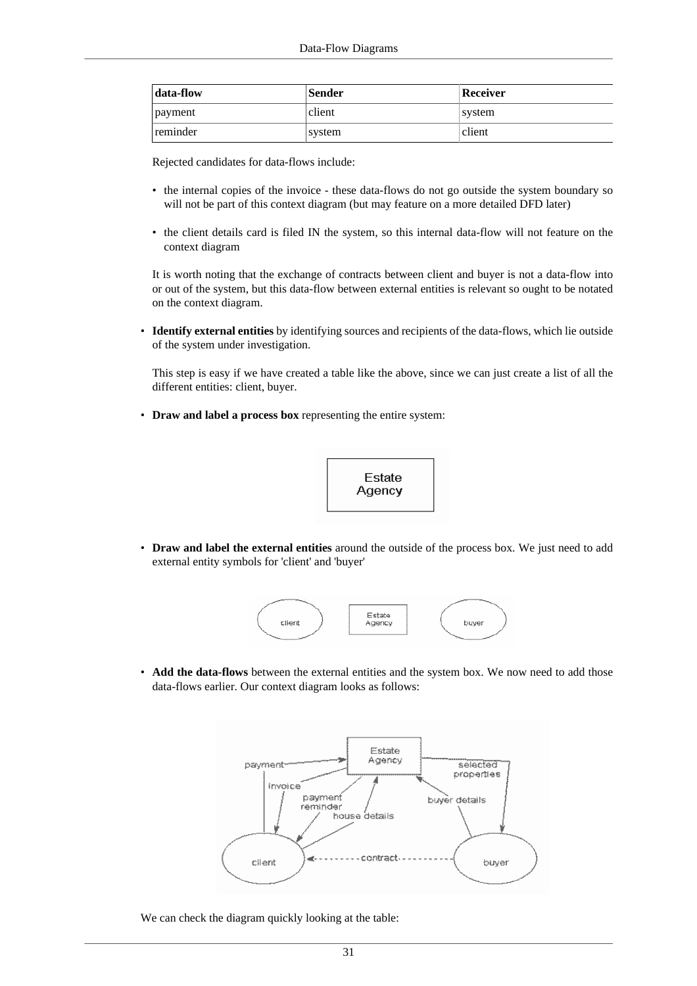| data-flow | <b>Sender</b> | Receiver |
|-----------|---------------|----------|
| payment   | client        | svstem   |
| reminder  | system        | client   |

Rejected candidates for data-flows include:

- the internal copies of the invoice these data-flows do not go outside the system boundary so will not be part of this context diagram (but may feature on a more detailed DFD later)
- the client details card is filed IN the system, so this internal data-flow will not feature on the context diagram

It is worth noting that the exchange of contracts between client and buyer is not a data-flow into or out of the system, but this data-flow between external entities is relevant so ought to be notated on the context diagram.

• **Identify external entities** by identifying sources and recipients of the data-flows, which lie outside of the system under investigation.

This step is easy if we have created a table like the above, since we can just create a list of all the different entities: client, buyer.

• **Draw and label a process box** representing the entire system:



• **Draw and label the external entities** around the outside of the process box. We just need to add external entity symbols for 'client' and 'buyer'



• **Add the data-flows** between the external entities and the system box. We now need to add those data-flows earlier. Our context diagram looks as follows:



We can check the diagram quickly looking at the table: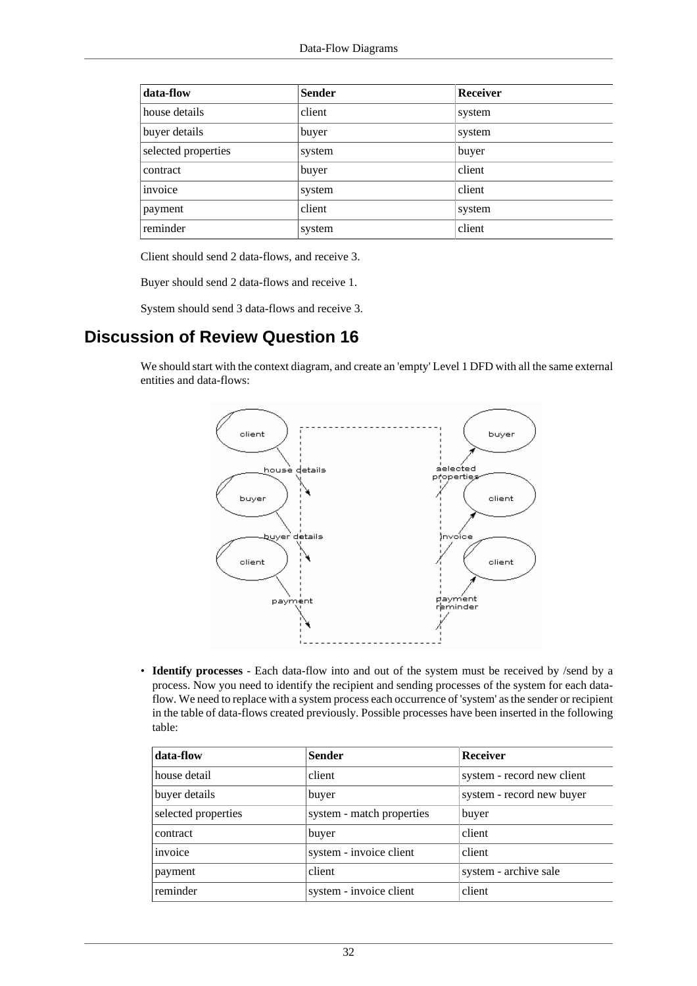| data-flow           | <b>Sender</b> | Receiver |
|---------------------|---------------|----------|
| house details       | client        | system   |
| buyer details       | buyer         | system   |
| selected properties | system        | buyer    |
| contract            | buyer         | client   |
| invoice             | system        | client   |
| payment             | client        | system   |
| reminder            | system        | client   |

Client should send 2 data-flows, and receive 3.

Buyer should send 2 data-flows and receive 1.

System should send 3 data-flows and receive 3.

### <span id="page-31-0"></span>**Discussion of Review Question 16**

We should start with the context diagram, and create an 'empty' Level 1 DFD with all the same external entities and data-flows:



• **Identify processes** - Each data-flow into and out of the system must be received by /send by a process. Now you need to identify the recipient and sending processes of the system for each dataflow. We need to replace with a system process each occurrence of 'system' as the sender or recipient in the table of data-flows created previously. Possible processes have been inserted in the following table:

| data-flow           | <b>Sender</b>             | <b>Receiver</b>            |
|---------------------|---------------------------|----------------------------|
| house detail        | client                    | system - record new client |
| buyer details       | buyer                     | system - record new buyer  |
| selected properties | system - match properties | buyer                      |
| contract            | buyer                     | client                     |
| invoice             | system - invoice client   | client                     |
| payment             | client                    | system - archive sale      |
| reminder            | system - invoice client   | client                     |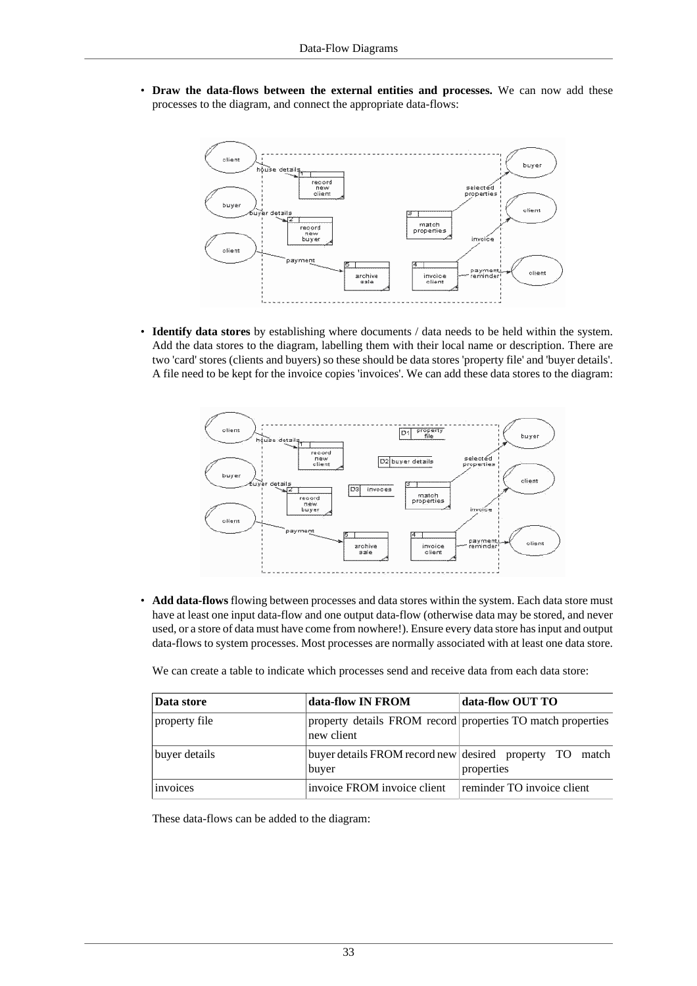• **Draw the data-flows between the external entities and processes.** We can now add these processes to the diagram, and connect the appropriate data-flows:



• **Identify data stores** by establishing where documents / data needs to be held within the system. Add the data stores to the diagram, labelling them with their local name or description. There are two 'card' stores (clients and buyers) so these should be data stores 'property file' and 'buyer details'. A file need to be kept for the invoice copies 'invoices'. We can add these data stores to the diagram:



• **Add data-flows** flowing between processes and data stores within the system. Each data store must have at least one input data-flow and one output data-flow (otherwise data may be stored, and never used, or a store of data must have come from nowhere!). Ensure every data store has input and output data-flows to system processes. Most processes are normally associated with at least one data store.

We can create a table to indicate which processes send and receive data from each data store:

| Data store    | data-flow IN FROM           | data-flow OUT TO                                                      |
|---------------|-----------------------------|-----------------------------------------------------------------------|
| property file | new client                  | property details FROM record properties TO match properties           |
| buyer details | buyer                       | buyer details FROM record new desired property TO match<br>properties |
| invoices      | invoice FROM invoice client | reminder TO invoice client                                            |

These data-flows can be added to the diagram: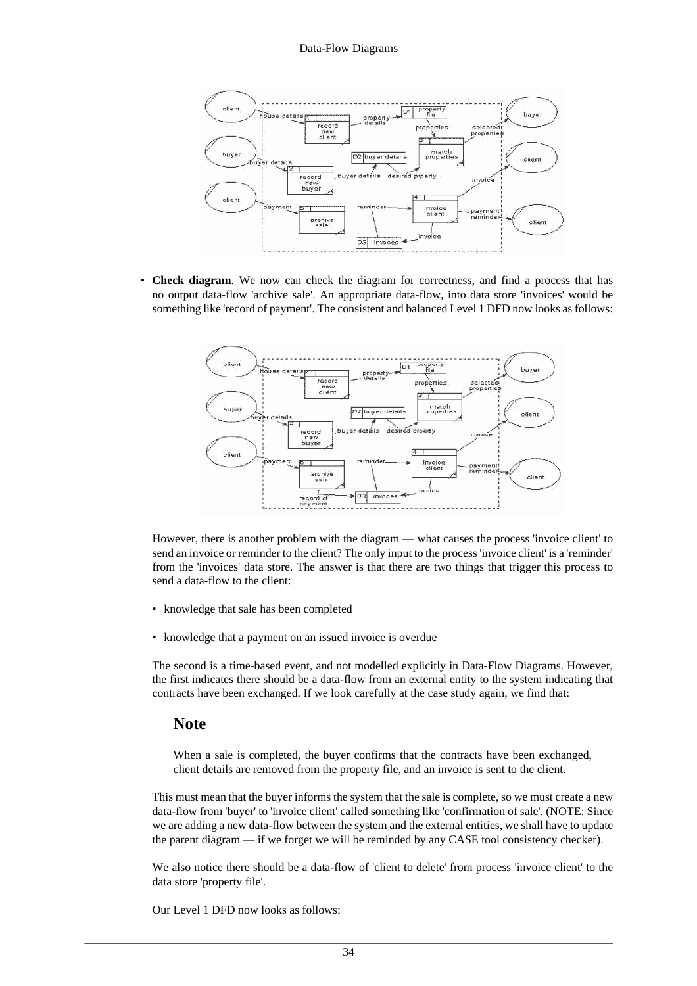

• **Check diagram**. We now can check the diagram for correctness, and find a process that has no output data-flow 'archive sale'. An appropriate data-flow, into data store 'invoices' would be something like 'record of payment'. The consistent and balanced Level 1 DFD now looks as follows:



However, there is another problem with the diagram — what causes the process 'invoice client' to send an invoice or reminder to the client? The only input to the process 'invoice client' is a 'reminder' from the 'invoices' data store. The answer is that there are two things that trigger this process to send a data-flow to the client:

- knowledge that sale has been completed
- knowledge that a payment on an issued invoice is overdue

The second is a time-based event, and not modelled explicitly in Data-Flow Diagrams. However, the first indicates there should be a data-flow from an external entity to the system indicating that contracts have been exchanged. If we look carefully at the case study again, we find that:

#### **Note**

When a sale is completed, the buyer confirms that the contracts have been exchanged, client details are removed from the property file, and an invoice is sent to the client.

This must mean that the buyer informs the system that the sale is complete, so we must create a new data-flow from 'buyer' to 'invoice client' called something like 'confirmation of sale'. (NOTE: Since we are adding a new data-flow between the system and the external entities, we shall have to update the parent diagram — if we forget we will be reminded by any CASE tool consistency checker).

We also notice there should be a data-flow of 'client to delete' from process 'invoice client' to the data store 'property file'.

Our Level 1 DFD now looks as follows: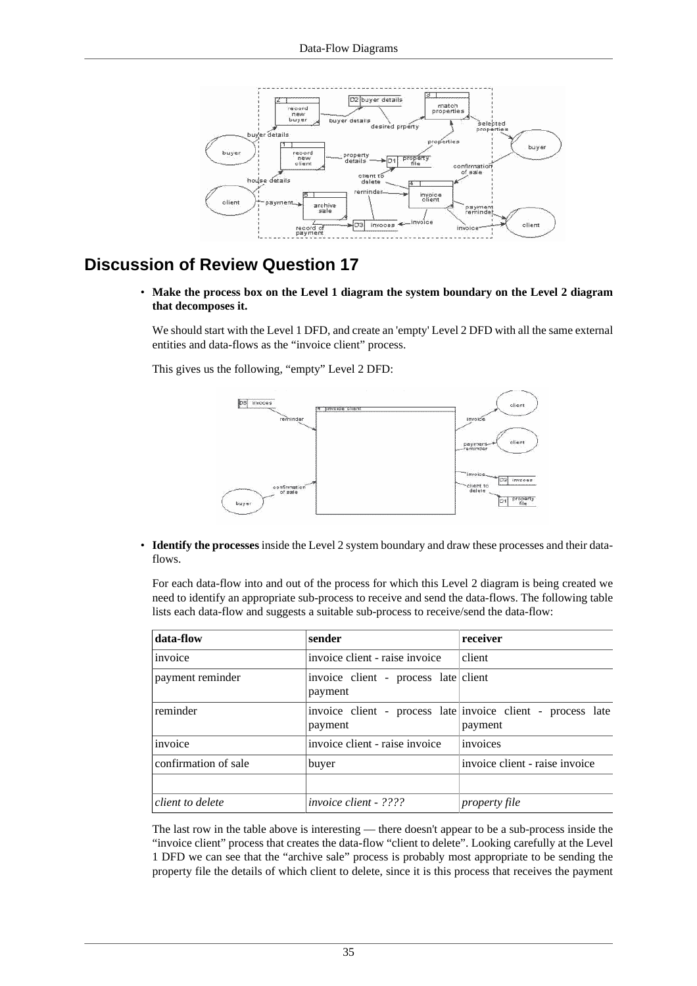

## <span id="page-34-0"></span>**Discussion of Review Question 17**

• **Make the process box on the Level 1 diagram the system boundary on the Level 2 diagram that decomposes it.**

We should start with the Level 1 DFD, and create an 'empty' Level 2 DFD with all the same external entities and data-flows as the "invoice client" process.

This gives us the following, "empty" Level 2 DFD:



• **Identify the processes** inside the Level 2 system boundary and draw these processes and their dataflows.

For each data-flow into and out of the process for which this Level 2 diagram is being created we need to identify an appropriate sub-process to receive and send the data-flows. The following table lists each data-flow and suggests a suitable sub-process to receive/send the data-flow:

| data-flow            | sender                                          | receiver                                                               |
|----------------------|-------------------------------------------------|------------------------------------------------------------------------|
| invoice              | invoice client - raise invoice                  | client                                                                 |
| payment reminder     | invoice client - process late client<br>payment |                                                                        |
| reminder             | payment                                         | invoice client - process late invoice client - process late<br>payment |
| invoice              | invoice client - raise invoice                  | invoices                                                               |
| confirmation of sale | buyer                                           | invoice client - raise invoice                                         |
| client to delete     | <i>invoice client - ????</i>                    | <i>property file</i>                                                   |

The last row in the table above is interesting — there doesn't appear to be a sub-process inside the "invoice client" process that creates the data-flow "client to delete". Looking carefully at the Level 1 DFD we can see that the "archive sale" process is probably most appropriate to be sending the property file the details of which client to delete, since it is this process that receives the payment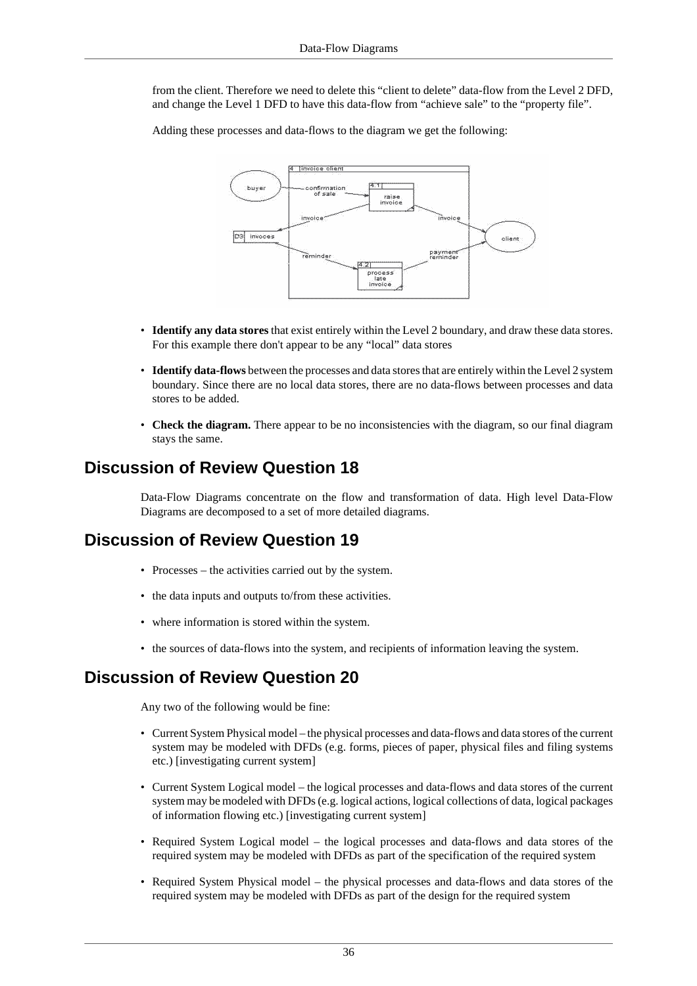from the client. Therefore we need to delete this "client to delete" data-flow from the Level 2 DFD, and change the Level 1 DFD to have this data-flow from "achieve sale" to the "property file".

Adding these processes and data-flows to the diagram we get the following:



- **Identify any data stores** that exist entirely within the Level 2 boundary, and draw these data stores. For this example there don't appear to be any "local" data stores
- **Identify data-flows** between the processes and data stores that are entirely within the Level 2 system boundary. Since there are no local data stores, there are no data-flows between processes and data stores to be added.
- **Check the diagram.** There appear to be no inconsistencies with the diagram, so our final diagram stays the same.

### <span id="page-35-0"></span>**Discussion of Review Question 18**

Data-Flow Diagrams concentrate on the flow and transformation of data. High level Data-Flow Diagrams are decomposed to a set of more detailed diagrams.

### <span id="page-35-1"></span>**Discussion of Review Question 19**

- Processes the activities carried out by the system.
- the data inputs and outputs to/from these activities.
- where information is stored within the system.
- the sources of data-flows into the system, and recipients of information leaving the system.

### <span id="page-35-2"></span>**Discussion of Review Question 20**

Any two of the following would be fine:

- Current System Physical model the physical processes and data-flows and data stores of the current system may be modeled with DFDs (e.g. forms, pieces of paper, physical files and filing systems etc.) [investigating current system]
- Current System Logical model the logical processes and data-flows and data stores of the current system may be modeled with DFDs (e.g. logical actions, logical collections of data, logical packages of information flowing etc.) [investigating current system]
- Required System Logical model the logical processes and data-flows and data stores of the required system may be modeled with DFDs as part of the specification of the required system
- Required System Physical model the physical processes and data-flows and data stores of the required system may be modeled with DFDs as part of the design for the required system